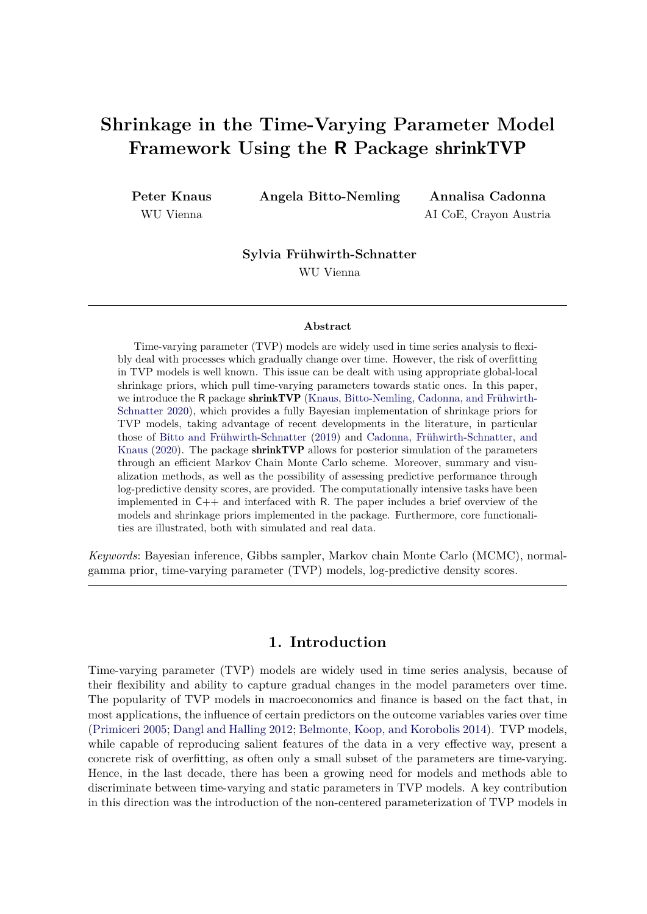# **Shrinkage in the Time-Varying Parameter Model Framework Using the R Package** shrinkTVP

**Peter Knaus** WU Vienna

**Angela Bitto-Nemling Annalisa Cadonna**

AI CoE, Crayon Austria

**Sylvia Frühwirth-Schnatter**

WU Vienna

#### **Abstract**

Time-varying parameter (TVP) models are widely used in time series analysis to flexibly deal with processes which gradually change over time. However, the risk of overfitting in TVP models is well known. This issue can be dealt with using appropriate global-local shrinkage priors, which pull time-varying parameters towards static ones. In this paper, we introduce the R package shrinkTVP [\(Knaus, Bitto-Nemling, Cadonna, and Frühwirth-](#page-29-0)[Schnatter 2020\)](#page-29-0), which provides a fully Bayesian implementation of shrinkage priors for TVP models, taking advantage of recent developments in the literature, in particular those of [Bitto and Frühwirth-Schnatter](#page-28-0) [\(2019\)](#page-28-0) and [Cadonna, Frühwirth-Schnatter, and](#page-28-1) [Knaus](#page-28-1) [\(2020\)](#page-28-1). The package shrinkTVP allows for posterior simulation of the parameters through an efficient Markov Chain Monte Carlo scheme. Moreover, summary and visualization methods, as well as the possibility of assessing predictive performance through log-predictive density scores, are provided. The computationally intensive tasks have been implemented in  $C_{++}$  and interfaced with R. The paper includes a brief overview of the models and shrinkage priors implemented in the package. Furthermore, core functionalities are illustrated, both with simulated and real data.

*Keywords*: Bayesian inference, Gibbs sampler, Markov chain Monte Carlo (MCMC), normalgamma prior, time-varying parameter (TVP) models, log-predictive density scores.

# **1. Introduction**

Time-varying parameter (TVP) models are widely used in time series analysis, because of their flexibility and ability to capture gradual changes in the model parameters over time. The popularity of TVP models in macroeconomics and finance is based on the fact that, in most applications, the influence of certain predictors on the outcome variables varies over time [\(Primiceri 2005;](#page-30-0) [Dangl and Halling 2012;](#page-28-2) [Belmonte, Koop, and Korobolis 2014\)](#page-28-3). TVP models, while capable of reproducing salient features of the data in a very effective way, present a concrete risk of overfitting, as often only a small subset of the parameters are time-varying. Hence, in the last decade, there has been a growing need for models and methods able to discriminate between time-varying and static parameters in TVP models. A key contribution in this direction was the introduction of the non-centered parameterization of TVP models in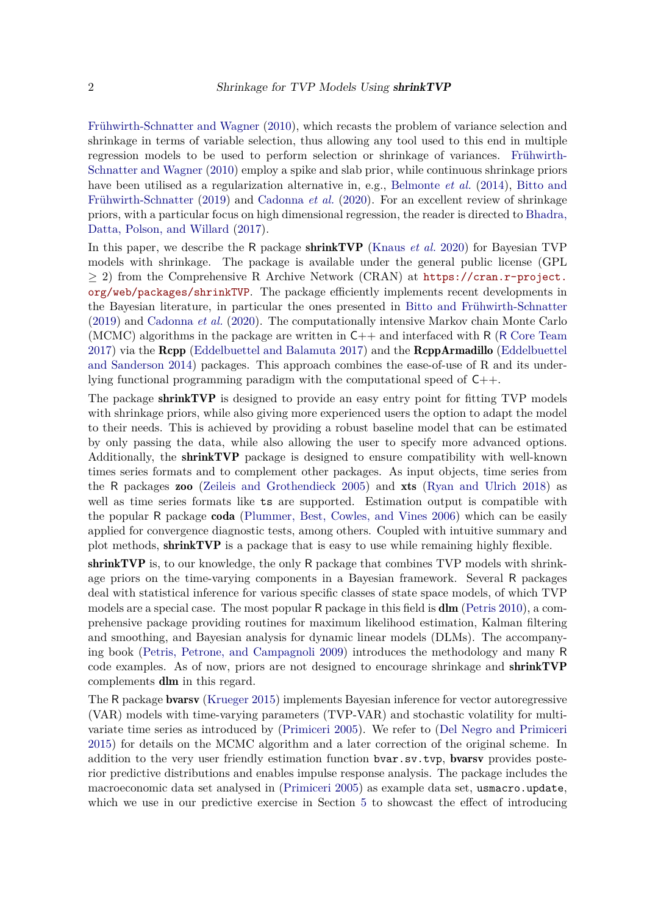[Frühwirth-Schnatter and Wagner](#page-29-1) [\(2010\)](#page-29-1), which recasts the problem of variance selection and shrinkage in terms of variable selection, thus allowing any tool used to this end in multiple regression models to be used to perform selection or shrinkage of variances. [Frühwirth-](#page-29-1)[Schnatter and Wagner](#page-29-1) [\(2010\)](#page-29-1) employ a spike and slab prior, while continuous shrinkage priors have been utilised as a regularization alternative in, e.g., [Belmonte](#page-28-3) *et al.* [\(2014\)](#page-28-3), [Bitto and](#page-28-0) [Frühwirth-Schnatter](#page-28-0) [\(2019\)](#page-28-0) and [Cadonna](#page-28-1) *et al.* [\(2020\)](#page-28-1). For an excellent review of shrinkage priors, with a particular focus on high dimensional regression, the reader is directed to [Bhadra,](#page-28-4) [Datta, Polson, and Willard](#page-28-4) [\(2017\)](#page-28-4).

In this paper, we describe the R package shrinkTVP [\(Knaus](#page-29-0) *et al.* [2020\)](#page-29-0) for Bayesian TVP models with shrinkage. The package is available under the general public license (GPL  $\geq$  2) from the Comprehensive R Archive Network (CRAN) at [https://cran.r-project.](https://cran.r-project.org/web/packages/shrinkTVP) [org/web/packages/shrinkTVP](https://cran.r-project.org/web/packages/shrinkTVP). The package efficiently implements recent developments in the Bayesian literature, in particular the ones presented in [Bitto and Frühwirth-Schnatter](#page-28-0) [\(2019\)](#page-28-0) and [Cadonna](#page-28-1) *et al.* [\(2020\)](#page-28-1). The computationally intensive Markov chain Monte Carlo (MCMC) algorithms in the package are written in  $C_{++}$  and interfaced with R (R [Core Team](#page-30-1) [2017\)](#page-30-1) via the Rcpp [\(Eddelbuettel and Balamuta 2017\)](#page-29-2) and the RcppArmadillo [\(Eddelbuettel](#page-29-3) [and Sanderson 2014\)](#page-29-3) packages. This approach combines the ease-of-use of R and its underlying functional programming paradigm with the computational speed of C++.

The package **shrinkTVP** is designed to provide an easy entry point for fitting TVP models with shrinkage priors, while also giving more experienced users the option to adapt the model to their needs. This is achieved by providing a robust baseline model that can be estimated by only passing the data, while also allowing the user to specify more advanced options. Additionally, the shrinkTVP package is designed to ensure compatibility with well-known times series formats and to complement other packages. As input objects, time series from the R packages zoo [\(Zeileis and Grothendieck 2005\)](#page-31-0) and xts [\(Ryan and Ulrich 2018\)](#page-30-2) as well as time series formats like ts are supported. Estimation output is compatible with the popular R package coda [\(Plummer, Best, Cowles, and Vines 2006\)](#page-30-3) which can be easily applied for convergence diagnostic tests, among others. Coupled with intuitive summary and plot methods, shrinkTVP is a package that is easy to use while remaining highly flexible.

shrinkTVP is, to our knowledge, the only R package that combines TVP models with shrinkage priors on the time-varying components in a Bayesian framework. Several R packages deal with statistical inference for various specific classes of state space models, of which TVP models are a special case. The most popular R package in this field is dlm [\(Petris 2010\)](#page-30-4), a comprehensive package providing routines for maximum likelihood estimation, Kalman filtering and smoothing, and Bayesian analysis for dynamic linear models (DLMs). The accompanying book [\(Petris, Petrone, and Campagnoli 2009\)](#page-30-5) introduces the methodology and many R code examples. As of now, priors are not designed to encourage shrinkage and shrinkTVP complements dlm in this regard.

The R package bvarsv [\(Krueger 2015\)](#page-29-4) implements Bayesian inference for vector autoregressive (VAR) models with time-varying parameters (TVP-VAR) and stochastic volatility for multivariate time series as introduced by [\(Primiceri 2005\)](#page-30-0). We refer to [\(Del Negro and Primiceri](#page-28-5) [2015\)](#page-28-5) for details on the MCMC algorithm and a later correction of the original scheme. In addition to the very user friendly estimation function bvar.sv.tvp, bvarsv provides posterior predictive distributions and enables impulse response analysis. The package includes the macroeconomic data set analysed in [\(Primiceri 2005\)](#page-30-0) as example data set, usmacro.update, which we use in our predictive exercise in Section [5](#page-18-0) to showcast the effect of introducing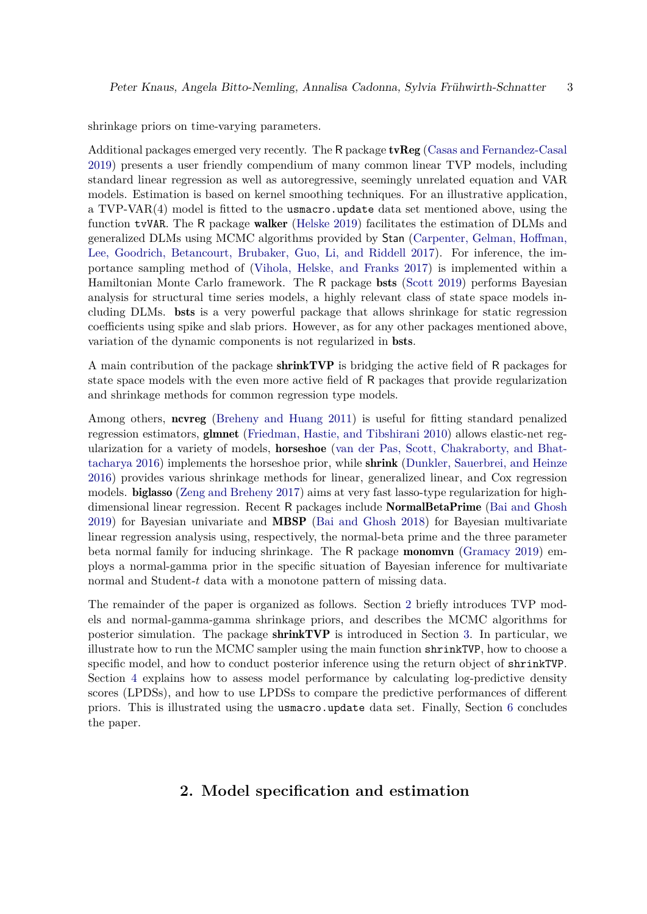shrinkage priors on time-varying parameters.

Additional packages emerged very recently. The R package tvReg [\(Casas and Fernandez-Casal](#page-28-6) [2019\)](#page-28-6) presents a user friendly compendium of many common linear TVP models, including standard linear regression as well as autoregressive, seemingly unrelated equation and VAR models. Estimation is based on kernel smoothing techniques. For an illustrative application, a TVP-VAR(4) model is fitted to the usmacro.update data set mentioned above, using the function tvVAR. The R package walker [\(Helske 2019\)](#page-29-5) facilitates the estimation of DLMs and generalized DLMs using MCMC algorithms provided by Stan [\(Carpenter, Gelman, Hoffman,](#page-28-7) [Lee, Goodrich, Betancourt, Brubaker, Guo, Li, and Riddell 2017\)](#page-28-7). For inference, the importance sampling method of [\(Vihola, Helske, and Franks 2017\)](#page-30-6) is implemented within a Hamiltonian Monte Carlo framework. The R package bsts [\(Scott 2019\)](#page-30-7) performs Bayesian analysis for structural time series models, a highly relevant class of state space models including DLMs. bsts is a very powerful package that allows shrinkage for static regression coefficients using spike and slab priors. However, as for any other packages mentioned above, variation of the dynamic components is not regularized in bsts.

A main contribution of the package shrinkTVP is bridging the active field of R packages for state space models with the even more active field of R packages that provide regularization and shrinkage methods for common regression type models.

Among others, ncvreg [\(Breheny and Huang 2011\)](#page-28-8) is useful for fitting standard penalized regression estimators, glmnet [\(Friedman, Hastie, and Tibshirani 2010\)](#page-29-6) allows elastic-net regularization for a variety of models, horseshoe [\(van der Pas, Scott, Chakraborty, and Bhat](#page-30-8)[tacharya 2016\)](#page-30-8) implements the horseshoe prior, while shrink [\(Dunkler, Sauerbrei, and Heinze](#page-28-9) [2016\)](#page-28-9) provides various shrinkage methods for linear, generalized linear, and Cox regression models. biglasso [\(Zeng and Breheny 2017\)](#page-31-1) aims at very fast lasso-type regularization for highdimensional linear regression. Recent R packages include NormalBetaPrime [\(Bai and Ghosh](#page-28-10) [2019\)](#page-28-10) for Bayesian univariate and MBSP [\(Bai and Ghosh 2018\)](#page-28-11) for Bayesian multivariate linear regression analysis using, respectively, the normal-beta prime and the three parameter beta normal family for inducing shrinkage. The R package monomvn [\(Gramacy 2019\)](#page-29-7) employs a normal-gamma prior in the specific situation of Bayesian inference for multivariate normal and Student-*t* data with a monotone pattern of missing data.

The remainder of the paper is organized as follows. Section [2](#page-2-0) briefly introduces TVP models and normal-gamma-gamma shrinkage priors, and describes the MCMC algorithms for posterior simulation. The package shrinkTVP is introduced in Section [3.](#page-7-0) In particular, we illustrate how to run the MCMC sampler using the main function shrinkTVP, how to choose a specific model, and how to conduct posterior inference using the return object of shrinkTVP. Section [4](#page-14-0) explains how to assess model performance by calculating log-predictive density scores (LPDSs), and how to use LPDSs to compare the predictive performances of different priors. This is illustrated using the usmacro.update data set. Finally, Section [6](#page-20-0) concludes the paper.

# <span id="page-2-0"></span>**2. Model specification and estimation**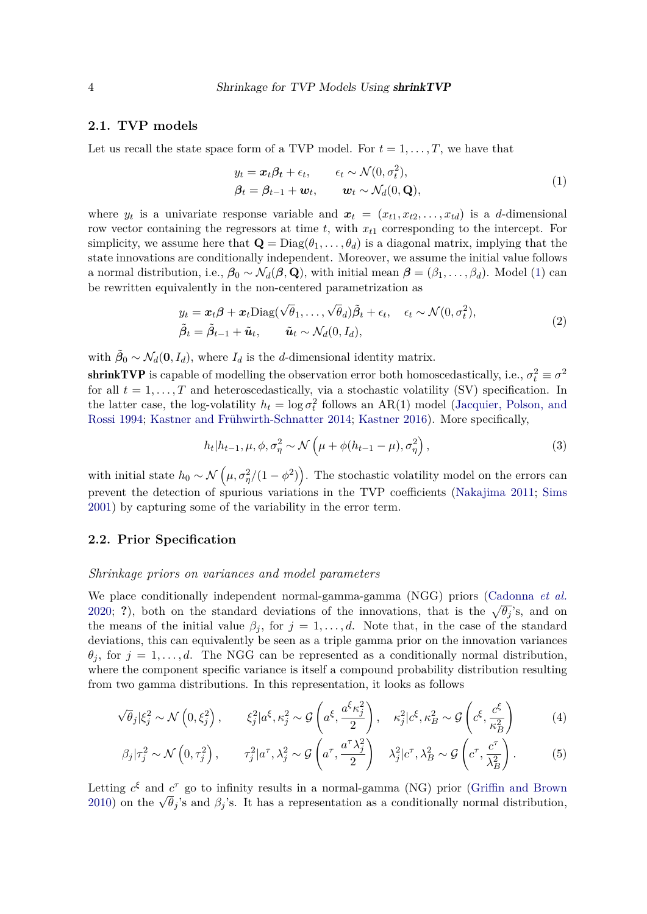### **2.1. TVP models**

Let us recall the state space form of a TVP model. For  $t = 1, \ldots, T$ , we have that

<span id="page-3-0"></span>
$$
y_t = \mathbf{x}_t \boldsymbol{\beta}_t + \epsilon_t, \qquad \epsilon_t \sim \mathcal{N}(0, \sigma_t^2),
$$
  

$$
\boldsymbol{\beta}_t = \boldsymbol{\beta}_{t-1} + \mathbf{w}_t, \qquad \mathbf{w}_t \sim \mathcal{N}_d(0, \mathbf{Q}),
$$
 (1)

where  $y_t$  is a univariate response variable and  $x_t = (x_{t1}, x_{t2}, \ldots, x_{td})$  is a *d*-dimensional row vector containing the regressors at time *t*, with *xt*<sup>1</sup> corresponding to the intercept. For simplicity, we assume here that  $\mathbf{Q} = \text{Diag}(\theta_1, \dots, \theta_d)$  is a diagonal matrix, implying that the state innovations are conditionally independent. Moreover, we assume the initial value follows a normal distribution, i.e.,  $\beta_0 \sim \mathcal{N}_d(\beta, \mathbf{Q})$ , with initial mean  $\beta = (\beta_1, \ldots, \beta_d)$ . Model [\(1\)](#page-3-0) can be rewritten equivalently in the non-centered parametrization as

$$
y_t = \boldsymbol{x}_t \boldsymbol{\beta} + \boldsymbol{x}_t \text{Diag}(\sqrt{\theta}_1, \dots, \sqrt{\theta}_d) \tilde{\boldsymbol{\beta}}_t + \epsilon_t, \quad \epsilon_t \sim \mathcal{N}(0, \sigma_t^2),
$$
  

$$
\tilde{\boldsymbol{\beta}}_t = \tilde{\boldsymbol{\beta}}_{t-1} + \tilde{\boldsymbol{u}}_t, \qquad \tilde{\boldsymbol{u}}_t \sim \mathcal{N}_d(0, I_d),
$$
\n(2)

with  $\tilde{\beta}_0 \sim \mathcal{N}_d(\mathbf{0}, I_d)$ , where  $I_d$  is the *d*-dimensional identity matrix.

**shrinkTVP** is capable of modelling the observation error both homoscedastically, i.e.,  $\sigma_t^2 \equiv \sigma^2$ for all  $t = 1, \ldots, T$  and heteroscedastically, via a stochastic volatility (SV) specification. In the latter case, the log-volatility  $h_t = \log \sigma_t^2$  follows an AR(1) model [\(Jacquier, Polson, and](#page-29-8) [Rossi 1994;](#page-29-8) [Kastner and Frühwirth-Schnatter 2014;](#page-29-9) [Kastner 2016\)](#page-29-10). More specifically,

<span id="page-3-1"></span>
$$
h_t|h_{t-1}, \mu, \phi, \sigma_\eta^2 \sim \mathcal{N}\left(\mu + \phi(h_{t-1} - \mu), \sigma_\eta^2\right),\tag{3}
$$

with initial state  $h_0 \sim \mathcal{N}\left(\mu, \sigma_{\eta}^2/(1-\phi^2)\right)$ . The stochastic volatility model on the errors can prevent the detection of spurious variations in the TVP coefficients [\(Nakajima 2011;](#page-30-9) [Sims](#page-30-10) [2001\)](#page-30-10) by capturing some of the variability in the error term.

# <span id="page-3-2"></span>**2.2. Prior Specification**

#### *Shrinkage priors on variances and model parameters*

We place conditionally independent normal-gamma-gamma (NGG) priors [\(Cadonna](#page-28-1) *et al.* [2020;](#page-28-1) ?), both on the standard deviations of the innovations, that is the  $\sqrt{\theta_j}$ 's, and on the means of the initial value  $\beta_j$ , for  $j = 1, \ldots, d$ . Note that, in the case of the standard deviations, this can equivalently be seen as a triple gamma prior on the innovation variances  $\theta_j$ , for  $j = 1, \ldots, d$ . The NGG can be represented as a conditionally normal distribution, where the component specific variance is itself a compound probability distribution resulting from two gamma distributions. In this representation, it looks as follows

$$
\sqrt{\theta_j} |\xi_j^2 \sim \mathcal{N}\left(0, \xi_j^2\right), \qquad \xi_j^2 | a^{\xi}, \kappa_j^2 \sim \mathcal{G}\left(a^{\xi}, \frac{a^{\xi} \kappa_j^2}{2}\right), \quad \kappa_j^2 | c^{\xi}, \kappa_B^2 \sim \mathcal{G}\left(c^{\xi}, \frac{c^{\xi}}{\kappa_B^2}\right) \tag{4}
$$

$$
\beta_j|\tau_j^2 \sim \mathcal{N}\left(0, \tau_j^2\right), \qquad \tau_j^2|a^\tau, \lambda_j^2 \sim \mathcal{G}\left(a^\tau, \frac{a^\tau \lambda_j^2}{2}\right) \quad \lambda_j^2|c^\tau, \lambda_B^2 \sim \mathcal{G}\left(c^\tau, \frac{c^\tau}{\lambda_B^2}\right). \tag{5}
$$

Letting  $c^{\xi}$  and  $c^{\tau}$  go to infinity results in a normal-gamma (NG) prior [\(Griffin and Brown](#page-29-11) [2010\)](#page-29-11) on the  $\sqrt{\theta_j}$ 's and  $\beta_j$ 's. It has a representation as a conditionally normal distribution,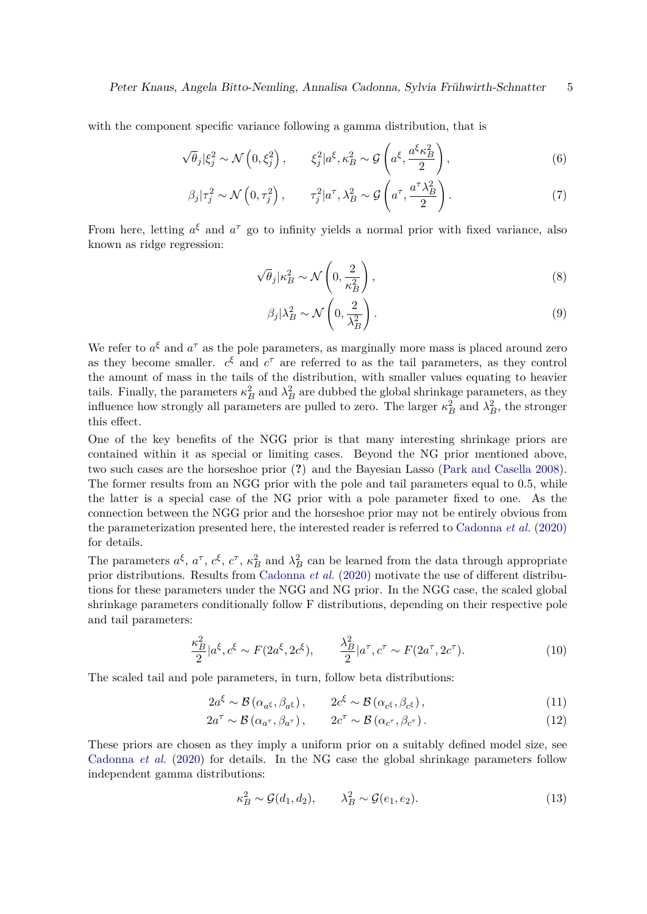with the component specific variance following a gamma distribution, that is

<span id="page-4-0"></span>
$$
\sqrt{\theta_j} |\xi_j^2 \sim \mathcal{N}\left(0, \xi_j^2\right), \qquad \xi_j^2 | a^{\xi}, \kappa_B^2 \sim \mathcal{G}\left(a^{\xi}, \frac{a^{\xi} \kappa_B^2}{2}\right), \tag{6}
$$

$$
\beta_j|\tau_j^2 \sim \mathcal{N}\left(0, \tau_j^2\right), \qquad \tau_j^2|a^\tau, \lambda_B^2 \sim \mathcal{G}\left(a^\tau, \frac{a^\tau \lambda_B^2}{2}\right). \tag{7}
$$

From here, letting  $a^{\xi}$  and  $a^{\tau}$  go to infinity yields a normal prior with fixed variance, also known as ridge regression:

$$
\sqrt{\theta_j} |\kappa_B^2 \sim \mathcal{N}\left(0, \frac{2}{\kappa_B^2}\right),\tag{8}
$$

$$
\beta_j |\lambda_B^2 \sim \mathcal{N}\left(0, \frac{2}{\lambda_B^2}\right). \tag{9}
$$

We refer to  $a^{\xi}$  and  $a^{\tau}$  as the pole parameters, as marginally more mass is placed around zero as they become smaller.  $c^{\xi}$  and  $c^{\tau}$  are referred to as the tail parameters, as they control the amount of mass in the tails of the distribution, with smaller values equating to heavier tails. Finally, the parameters  $\kappa_B^2$  and  $\lambda_B^2$  are dubbed the global shrinkage parameters, as they influence how strongly all parameters are pulled to zero. The larger  $\kappa_B^2$  and  $\lambda_B^2$ , the stronger this effect.

One of the key benefits of the NGG prior is that many interesting shrinkage priors are contained within it as special or limiting cases. Beyond the NG prior mentioned above, two such cases are the horseshoe prior (**?**) and the Bayesian Lasso [\(Park and Casella 2008\)](#page-30-11). The former results from an NGG prior with the pole and tail parameters equal to 0*.*5, while the latter is a special case of the NG prior with a pole parameter fixed to one. As the connection between the NGG prior and the horseshoe prior may not be entirely obvious from the parameterization presented here, the interested reader is referred to [Cadonna](#page-28-1) *et al.* [\(2020\)](#page-28-1) for details.

The parameters  $a^{\xi}$ ,  $a^{\tau}$ ,  $c^{\xi}$ ,  $c^{\tau}$ ,  $\kappa_B^2$  and  $\lambda_B^2$  can be learned from the data through appropriate prior distributions. Results from [Cadonna](#page-28-1) *et al.* [\(2020\)](#page-28-1) motivate the use of different distributions for these parameters under the NGG and NG prior. In the NGG case, the scaled global shrinkage parameters conditionally follow F distributions, depending on their respective pole and tail parameters:

$$
\frac{\kappa_B^2}{2}|a^{\xi}, c^{\xi} \sim F(2a^{\xi}, 2c^{\xi}), \qquad \frac{\lambda_B^2}{2}|a^{\tau}, c^{\tau} \sim F(2a^{\tau}, 2c^{\tau}). \tag{10}
$$

The scaled tail and pole parameters, in turn, follow beta distributions:

$$
2a^{\xi} \sim \mathcal{B}\left(\alpha_{a^{\xi}}, \beta_{a^{\xi}}\right), \qquad 2c^{\xi} \sim \mathcal{B}\left(\alpha_{c^{\xi}}, \beta_{c^{\xi}}\right), \tag{11}
$$

$$
2a^{\tau} \sim \mathcal{B}(\alpha_{a^{\tau}}, \beta_{a^{\tau}}), \qquad 2c^{\tau} \sim \mathcal{B}(\alpha_{c^{\tau}}, \beta_{c^{\tau}}).
$$
 (12)

These priors are chosen as they imply a uniform prior on a suitably defined model size, see [Cadonna](#page-28-1) *et al.* [\(2020\)](#page-28-1) for details. In the NG case the global shrinkage parameters follow independent gamma distributions:

<span id="page-4-1"></span>
$$
\kappa_B^2 \sim \mathcal{G}(d_1, d_2), \qquad \lambda_B^2 \sim \mathcal{G}(e_1, e_2). \tag{13}
$$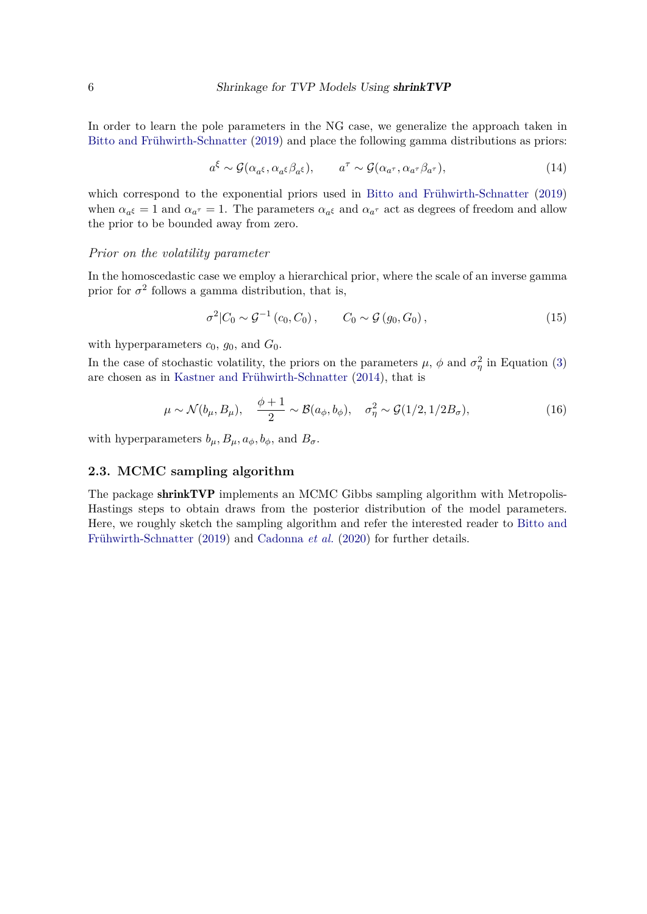In order to learn the pole parameters in the NG case, we generalize the approach taken in [Bitto and Frühwirth-Schnatter](#page-28-0) [\(2019\)](#page-28-0) and place the following gamma distributions as priors:

<span id="page-5-0"></span>
$$
a^{\xi} \sim \mathcal{G}(\alpha_{a^{\xi}}, \alpha_{a^{\xi}} \beta_{a^{\xi}}), \qquad a^{\tau} \sim \mathcal{G}(\alpha_{a^{\tau}}, \alpha_{a^{\tau}} \beta_{a^{\tau}}), \qquad (14)
$$

which correspond to the exponential priors used in [Bitto and Frühwirth-Schnatter](#page-28-0) [\(2019\)](#page-28-0) when  $\alpha_{a^{\xi}} = 1$  and  $\alpha_{a^{\tau}} = 1$ . The parameters  $\alpha_{a^{\xi}}$  and  $\alpha_{a^{\tau}}$  act as degrees of freedom and allow the prior to be bounded away from zero.

#### *Prior on the volatility parameter*

In the homoscedastic case we employ a hierarchical prior, where the scale of an inverse gamma prior for  $\sigma^2$  follows a gamma distribution, that is,

<span id="page-5-1"></span>
$$
\sigma^{2}|C_{0} \sim \mathcal{G}^{-1}(c_{0}, C_{0}), \qquad C_{0} \sim \mathcal{G}(g_{0}, G_{0}), \qquad (15)
$$

with hyperparameters  $c_0$ ,  $g_0$ , and  $G_0$ .

In the case of stochastic volatility, the priors on the parameters  $\mu$ ,  $\phi$  and  $\sigma_{\eta}^2$  in Equation [\(3\)](#page-3-1) are chosen as in [Kastner and Frühwirth-Schnatter](#page-29-9) [\(2014\)](#page-29-9), that is

<span id="page-5-2"></span>
$$
\mu \sim \mathcal{N}(b_{\mu}, B_{\mu}), \quad \frac{\phi + 1}{2} \sim \mathcal{B}(a_{\phi}, b_{\phi}), \quad \sigma_{\eta}^{2} \sim \mathcal{G}(1/2, 1/2B_{\sigma}), \tag{16}
$$

with hyperparameters  $b_{\mu}$ ,  $B_{\mu}$ ,  $a_{\phi}$ ,  $b_{\phi}$ , and  $B_{\sigma}$ .

#### <span id="page-5-3"></span>**2.3. MCMC sampling algorithm**

The package shrinkTVP implements an MCMC Gibbs sampling algorithm with Metropolis-Hastings steps to obtain draws from the posterior distribution of the model parameters. Here, we roughly sketch the sampling algorithm and refer the interested reader to [Bitto and](#page-28-0) [Frühwirth-Schnatter](#page-28-0) [\(2019\)](#page-28-0) and [Cadonna](#page-28-1) *et al.* [\(2020\)](#page-28-1) for further details.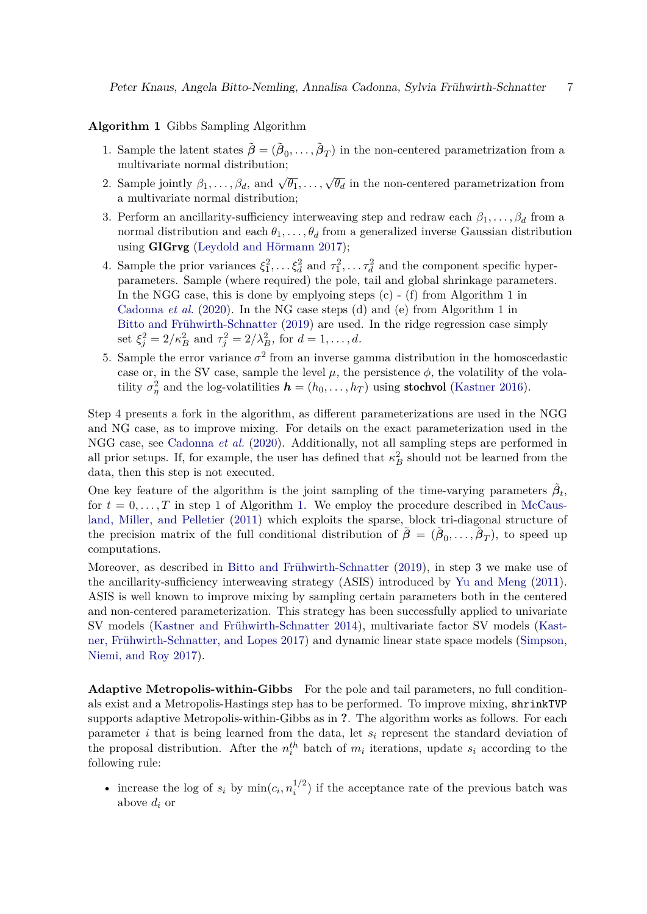#### <span id="page-6-0"></span>**Algorithm 1** Gibbs Sampling Algorithm

- 1. Sample the latent states  $\tilde{\boldsymbol{\beta}} = (\tilde{\boldsymbol{\beta}}_0, \dots, \tilde{\boldsymbol{\beta}}_T)$  in the non-centered parametrization from a multivariate normal distribution;
- 2. Sample jointly  $\beta_1, \ldots, \beta_d$ , and  $\sqrt{\theta_1}, \ldots, \sqrt{\theta_d}$  in the non-centered parametrization from a multivariate normal distribution;
- 3. Perform an ancillarity-sufficiency interweaving step and redraw each  $\beta_1, \ldots, \beta_d$  from a normal distribution and each  $\theta_1, \ldots, \theta_d$  from a generalized inverse Gaussian distribution using GIGrvg [\(Leydold and Hörmann 2017\)](#page-29-12);
- 4. Sample the prior variances  $\xi_1^2, \ldots, \xi_d^2$  and  $\tau_1^2, \ldots, \tau_d^2$  and the component specific hyperparameters. Sample (where required) the pole, tail and global shrinkage parameters. In the NGG case, this is done by emplyoing steps  $(c)$  - (f) from Algorithm 1 in [Cadonna](#page-28-1) *et al.* [\(2020\)](#page-28-1). In the NG case steps (d) and (e) from Algorithm 1 in [Bitto and Frühwirth-Schnatter](#page-28-0) [\(2019\)](#page-28-0) are used. In the ridge regression case simply set  $\xi_j^2 = 2/\kappa_B^2$  and  $\tau_j^2 = 2/\lambda_B^2$ , for  $d = 1, ..., d$ .
- 5. Sample the error variance  $\sigma^2$  from an inverse gamma distribution in the homoscedastic case or, in the SV case, sample the level  $\mu$ , the persistence  $\phi$ , the volatility of the volatility  $\sigma_{\eta}^2$  and the log-volatilities  $\mathbf{h} = (h_0, \ldots, h_T)$  using **stochvol** [\(Kastner 2016\)](#page-29-10).

Step 4 presents a fork in the algorithm, as different parameterizations are used in the NGG and NG case, as to improve mixing. For details on the exact parameterization used in the NGG case, see [Cadonna](#page-28-1) *et al.* [\(2020\)](#page-28-1). Additionally, not all sampling steps are performed in all prior setups. If, for example, the user has defined that  $\kappa_B^2$  should not be learned from the data, then this step is not executed.

One key feature of the algorithm is the joint sampling of the time-varying parameters  $\tilde{\beta}_t$ , for  $t = 0, \ldots, T$  in step 1 of Algorithm [1.](#page-6-0) We employ the procedure described in [McCaus](#page-29-13)[land, Miller, and Pelletier](#page-29-13) [\(2011\)](#page-29-13) which exploits the sparse, block tri-diagonal structure of the precision matrix of the full conditional distribution of  $\tilde{\boldsymbol{\beta}} = (\tilde{\boldsymbol{\beta}}_0, \ldots, \tilde{\boldsymbol{\beta}}_T)$ , to speed up computations.

Moreover, as described in [Bitto and Frühwirth-Schnatter](#page-28-0) [\(2019\)](#page-28-0), in step 3 we make use of the ancillarity-sufficiency interweaving strategy (ASIS) introduced by [Yu and Meng](#page-31-2) [\(2011\)](#page-31-2). ASIS is well known to improve mixing by sampling certain parameters both in the centered and non-centered parameterization. This strategy has been successfully applied to univariate SV models [\(Kastner and Frühwirth-Schnatter 2014\)](#page-29-9), multivariate factor SV models [\(Kast](#page-29-14)[ner, Frühwirth-Schnatter, and Lopes 2017\)](#page-29-14) and dynamic linear state space models [\(Simpson,](#page-30-12) [Niemi, and Roy 2017\)](#page-30-12).

**Adaptive Metropolis-within-Gibbs** For the pole and tail parameters, no full conditionals exist and a Metropolis-Hastings step has to be performed. To improve mixing, shrinkTVP supports adaptive Metropolis-within-Gibbs as in **?**. The algorithm works as follows. For each parameter *i* that is being learned from the data, let  $s_i$  represent the standard deviation of the proposal distribution. After the  $n_i^{th}$  batch of  $m_i$  iterations, update  $s_i$  according to the following rule:

• increase the log of  $s_i$  by  $\min(c_i, n_i^{1/2})$  $i^{1/2}$ ) if the acceptance rate of the previous batch was above *d<sup>i</sup>* or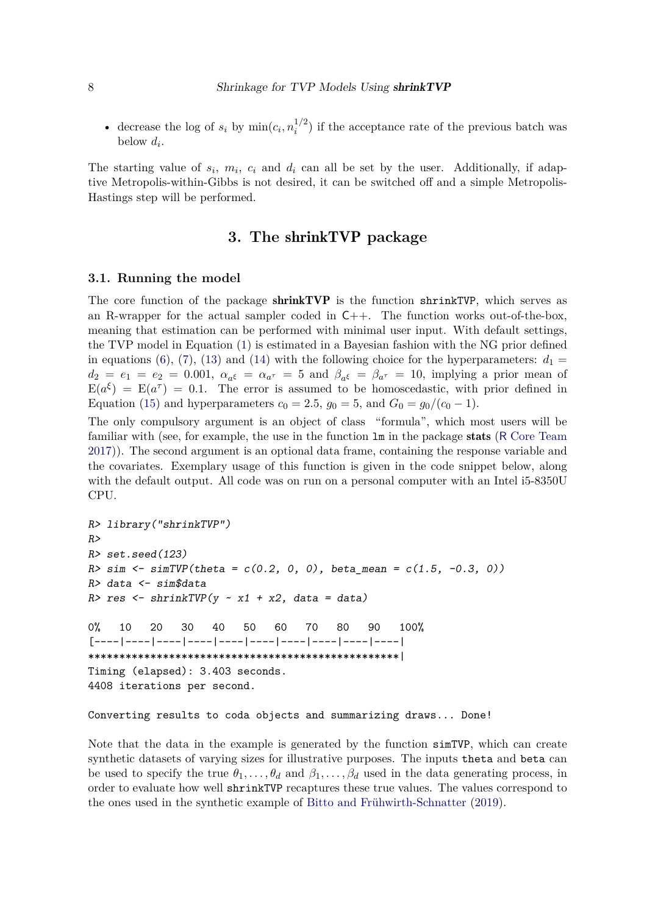• decrease the log of  $s_i$  by  $\min(c_i, n_i^{1/2})$  $i^{1/2}$ ) if the acceptance rate of the previous batch was below  $d_i$ .

The starting value of  $s_i$ ,  $m_i$ ,  $c_i$  and  $d_i$  can all be set by the user. Additionally, if adaptive Metropolis-within-Gibbs is not desired, it can be switched off and a simple Metropolis-Hastings step will be performed.

# **3. The** shrinkTVP **package**

# <span id="page-7-0"></span>**3.1. Running the model**

The core function of the package shrinkTVP is the function shrinkTVP, which serves as an R-wrapper for the actual sampler coded in  $C_{++}$ . The function works out-of-the-box. meaning that estimation can be performed with minimal user input. With default settings, the TVP model in Equation [\(1\)](#page-3-0) is estimated in a Bayesian fashion with the NG prior defined in equations [\(6\)](#page-4-0), [\(7\)](#page-4-0), [\(13\)](#page-4-1) and [\(14\)](#page-5-0) with the following choice for the hyperparameters:  $d_1 =$  $d_2 = e_1 = e_2 = 0.001$ ,  $\alpha_{a^{\xi}} = \alpha_{a^{\tau}} = 5$  and  $\beta_{a^{\xi}} = \beta_{a^{\tau}} = 10$ , implying a prior mean of  $E(a^{\xi}) = E(a^{\tau}) = 0.1$ . The error is assumed to be homoscedastic, with prior defined in Equation [\(15\)](#page-5-1) and hyperparameters  $c_0 = 2.5$ ,  $g_0 = 5$ , and  $G_0 = g_0/(c_0 - 1)$ .

The only compulsory argument is an object of class "formula", which most users will be familiar with (see, for example, the use in the function  $\text{Im}$  in the package stats (R [Core Team](#page-30-1) [2017\)](#page-30-1)). The second argument is an optional data frame, containing the response variable and the covariates. Exemplary usage of this function is given in the code snippet below, along with the default output. All code was on run on a personal computer with an Intel i5-8350U CPU.

```
R> library("shrinkTVP")
R>
R> set.seed(123)
R> sim <- simTVP(theta = c(0.2, 0, 0), beta_mean = c(1.5, -0.3, 0))
R> data <- sim$data
R> res <- shrinkTVP(y ~ x1 + x2, data = data)
0% 10 20 30 40 50 60 70 80 90 100%
[----|----|----|----|----|----|----|----|----|----|
**************************************************|
Timing (elapsed): 3.403 seconds.
4408 iterations per second.
```
#### Converting results to coda objects and summarizing draws... Done!

Note that the data in the example is generated by the function simTVP, which can create synthetic datasets of varying sizes for illustrative purposes. The inputs theta and beta can be used to specify the true  $\theta_1, \ldots, \theta_d$  and  $\beta_1, \ldots, \beta_d$  used in the data generating process, in order to evaluate how well shrinkTVP recaptures these true values. The values correspond to the ones used in the synthetic example of [Bitto and Frühwirth-Schnatter](#page-28-0) [\(2019\)](#page-28-0).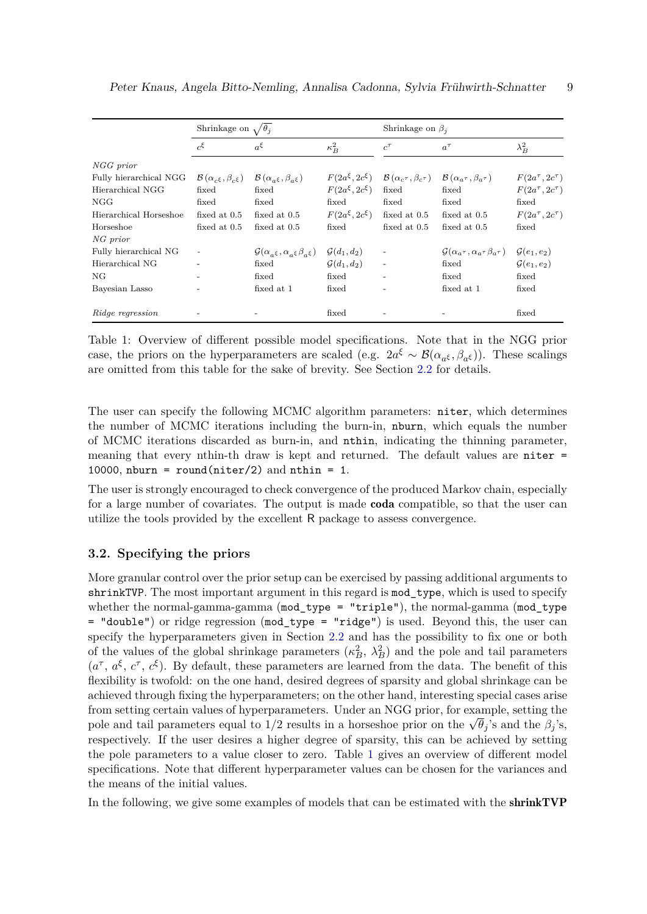<span id="page-8-0"></span>

|                        | Shrinkage on $\sqrt{\theta_i}$                      |                                                                       |                         | Shrinkage on $\beta_i$                             |                                                                     |                           |  |
|------------------------|-----------------------------------------------------|-----------------------------------------------------------------------|-------------------------|----------------------------------------------------|---------------------------------------------------------------------|---------------------------|--|
|                        | $c^{\xi}$                                           | $a^{\xi}$                                                             | $\kappa_B^2$            | $c^{\tau}$                                         | $a^{\tau}$                                                          | $\lambda_B^2$             |  |
| NGG prior              |                                                     |                                                                       |                         |                                                    |                                                                     |                           |  |
| Fully hierarchical NGG | $\mathcal{B}(\alpha_{c\epsilon},\beta_{c\epsilon})$ | $\mathcal{B}(\alpha_{a\epsilon},\beta_{a\epsilon})$                   | $F(2a^{\xi}, 2c^{\xi})$ | $\mathcal{B}(\alpha_{c^{\tau}}, \beta_{c^{\tau}})$ | $\mathcal{B}(\alpha_a\tau,\beta_a\tau)$                             | $F(2a^{\tau}, 2c^{\tau})$ |  |
| Hierarchical NGG       | fixed                                               | fixed                                                                 | $F(2a^{\xi}, 2c^{\xi})$ | fixed                                              | fixed                                                               | $F(2a^{\tau}, 2c^{\tau})$ |  |
| NGG                    | fixed                                               | fixed                                                                 | fixed                   | fixed                                              | fixed                                                               | fixed                     |  |
| Hierarchical Horseshoe | fixed at $0.5$                                      | fixed at $0.5$                                                        | $F(2a^{\xi}, 2c^{\xi})$ | fixed at $0.5$                                     | fixed at $0.5$                                                      | $F(2a^{\tau}, 2c^{\tau})$ |  |
| Horseshoe              | fixed at $0.5$                                      | fixed at $0.5$                                                        | fixed                   | fixed at 0.5                                       | fixed at 0.5                                                        | fixed                     |  |
| NG prior               |                                                     |                                                                       |                         |                                                    |                                                                     |                           |  |
| Fully hierarchical NG  |                                                     | $\mathcal{G}(\alpha_{a\epsilon},\alpha_{a\epsilon}\beta_{a\epsilon})$ | $\mathcal{G}(d_1,d_2)$  | $\overline{\phantom{a}}$                           | $\mathcal{G}(\alpha_{a^{\tau}}, \alpha_{a^{\tau}}\beta_{a^{\tau}})$ | $\mathcal{G}(e_1,e_2)$    |  |
| Hierarchical NG        |                                                     | fixed                                                                 | $\mathcal{G}(d_1,d_2)$  | $\overline{\phantom{a}}$                           | fixed                                                               | $\mathcal{G}(e_1,e_2)$    |  |
| NG                     |                                                     | fixed                                                                 | fixed                   |                                                    | fixed                                                               | fixed                     |  |
| Bayesian Lasso         |                                                     | fixed at 1                                                            | fixed                   |                                                    | fixed at 1                                                          | fixed                     |  |
| Ridge regression       |                                                     |                                                                       | fixed                   |                                                    |                                                                     | fixed                     |  |

Table 1: Overview of different possible model specifications. Note that in the NGG prior case, the priors on the hyperparameters are scaled (e.g.  $2a^{\xi} \sim \mathcal{B}(\alpha_{a^{\xi}}, \beta_{a^{\xi}})$ ). These scalings are omitted from this table for the sake of brevity. See Section [2.2](#page-3-2) for details.

The user can specify the following MCMC algorithm parameters: niter, which determines the number of MCMC iterations including the burn-in, nburn, which equals the number of MCMC iterations discarded as burn-in, and nthin, indicating the thinning parameter, meaning that every nthin-th draw is kept and returned. The default values are niter = 10000, nburn = round(niter/2) and nthin = 1.

The user is strongly encouraged to check convergence of the produced Markov chain, especially for a large number of covariates. The output is made coda compatible, so that the user can utilize the tools provided by the excellent R package to assess convergence.

## **3.2. Specifying the priors**

More granular control over the prior setup can be exercised by passing additional arguments to shrinkTVP. The most important argument in this regard is mod\_type, which is used to specify whether the normal-gamma-gamma (mod\_type = "triple"), the normal-gamma (mod\_type = "double") or ridge regression (mod\_type = "ridge") is used. Beyond this, the user can specify the hyperparameters given in Section [2.2](#page-3-2) and has the possibility to fix one or both of the values of the global shrinkage parameters  $(\kappa_B^2, \lambda_B^2)$  and the pole and tail parameters  $(a^{\tau}, a^{\xi}, c^{\tau}, c^{\xi})$ . By default, these parameters are learned from the data. The benefit of this flexibility is twofold: on the one hand, desired degrees of sparsity and global shrinkage can be achieved through fixing the hyperparameters; on the other hand, interesting special cases arise from setting certain values of hyperparameters. Under an NGG prior, for example, setting the pole and tail parameters equal to  $1/2$  results in a horseshoe prior on the  $\sqrt{\theta_j}$ 's and the  $\beta_j$ 's, respectively. If the user desires a higher degree of sparsity, this can be achieved by setting the pole parameters to a value closer to zero. Table [1](#page-8-0) gives an overview of different model specifications. Note that different hyperparameter values can be chosen for the variances and the means of the initial values.

In the following, we give some examples of models that can be estimated with the shrinkTVP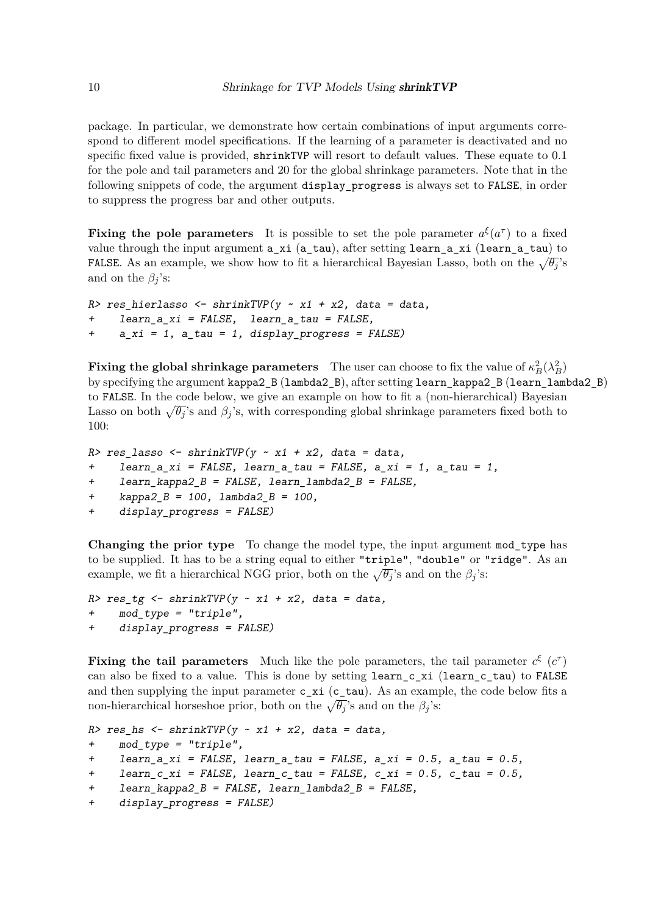package. In particular, we demonstrate how certain combinations of input arguments correspond to different model specifications. If the learning of a parameter is deactivated and no specific fixed value is provided, shrinkTVP will resort to default values. These equate to 0.1 for the pole and tail parameters and 20 for the global shrinkage parameters. Note that in the following snippets of code, the argument display\_progress is always set to FALSE, in order to suppress the progress bar and other outputs.

**Fixing the pole parameters** It is possible to set the pole parameter  $a^{\xi}(a^{\tau})$  to a fixed value through the input argument a\_xi (a\_tau), after setting learn\_a\_xi (learn\_a\_tau) to FALSE. As an example, we show how to fit a hierarchical Bayesian Lasso, both on the  $\sqrt{\theta_j}$ 's and on the  $\beta_j$ 's:

```
R> res_hierlasso <- shrinkTVP(y ~ x1 + x2, data = data,
    + learn_a_xi = FALSE, learn_a_tau = FALSE,
+ a_xi = 1, a_tau = 1, display_progress = FALSE)
```
**Fixing the global shrinkage parameters** The user can choose to fix the value of  $\kappa_B^2(\lambda_B^2)$ by specifying the argument kappa2\_B (lambda2\_B), after setting learn\_kappa2\_B (learn\_lambda2\_B) to FALSE. In the code below, we give an example on how to fit a (non-hierarchical) Bayesian Lasso on both  $\sqrt{\theta_j}$ 's and  $\beta_j$ 's, with corresponding global shrinkage parameters fixed both to 100:

```
R> res_lasso <- shrinkTVP(y ~ x1 + x2, data = data,
+ learn_a_xi = FALSE, learn_a_tau = FALSE, a_xi = 1, a_tau = 1,
+ learn_kappa2_B = FALSE, learn_lambda2_B = FALSE,
+ kappa2_B = 100, lambda2_B = 100,
+ display_progress = FALSE)
```
**Changing the prior type** To change the model type, the input argument mod\_type has to be supplied. It has to be a string equal to either "triple", "double" or "ridge". As an example, we fit a hierarchical NGG prior, both on the  $\sqrt{\theta_j}$ 's and on the  $\beta_j$ 's:

```
R> res_tg <- shrinkTVP(y ~ x1 + x2, data = data,
+ mod_type = "triple",
+ display_progress = FALSE)
```
**Fixing the tail parameters** Much like the pole parameters, the tail parameter  $c^{\xi}$  ( $c^{\tau}$ ) can also be fixed to a value. This is done by setting learn c xi (learn c tau) to FALSE and then supplying the input parameter  $c_x$ i ( $c_t$ tau). As an example, the code below fits a non-hierarchical horseshoe prior, both on the  $\sqrt{\theta_j}$ 's and on the  $\beta_j$ 's:

```
R> res_hs <- shrinkTVP(y ~ x1 + x2, data = data,
+ mod_type = "triple",
+ learn_a_xi = FALSE, learn_a_tau = FALSE, a_xi = 0.5, a_tau = 0.5,
+ learn_c_xi = FALSE, learn_c_tau = FALSE, c_xi = 0.5, c_tau = 0.5,
+ learn_kappa2_B = FALSE, learn_lambda2_B = FALSE,
+ display_progress = FALSE)
```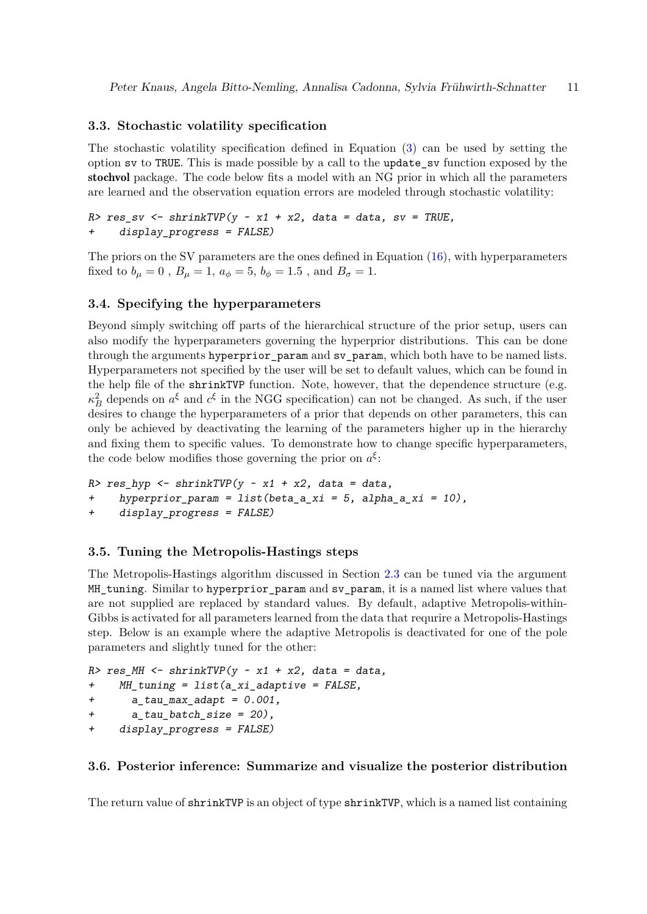## **3.3. Stochastic volatility specification**

The stochastic volatility specification defined in Equation [\(3\)](#page-3-1) can be used by setting the option sv to TRUE. This is made possible by a call to the update\_sv function exposed by the stochvol package. The code below fits a model with an NG prior in which all the parameters are learned and the observation equation errors are modeled through stochastic volatility:

```
R> res_sv <- shrinkTVP(y ~ x1 + x2, data = data, sv = TRUE,
+ display_progress = FALSE)
```
The priors on the SV parameters are the ones defined in Equation [\(16\)](#page-5-2), with hyperparameters fixed to  $b_{\mu} = 0$ ,  $B_{\mu} = 1$ ,  $a_{\phi} = 5$ ,  $b_{\phi} = 1.5$ , and  $B_{\sigma} = 1$ .

#### **3.4. Specifying the hyperparameters**

Beyond simply switching off parts of the hierarchical structure of the prior setup, users can also modify the hyperparameters governing the hyperprior distributions. This can be done through the arguments hyperprior\_param and sv\_param, which both have to be named lists. Hyperparameters not specified by the user will be set to default values, which can be found in the help file of the shrinkTVP function. Note, however, that the dependence structure (e.g.  $\kappa_B^2$  depends on  $a^{\xi}$  and  $c^{\xi}$  in the NGG specification) can not be changed. As such, if the user desires to change the hyperparameters of a prior that depends on other parameters, this can only be achieved by deactivating the learning of the parameters higher up in the hierarchy and fixing them to specific values. To demonstrate how to change specific hyperparameters, the code below modifies those governing the prior on  $a^{\xi}$ :

*R> res\_hyp <- shrinkTVP(y ~ x1 + x2, data = data, + hyperprior\_param = list(beta\_a\_xi = 5, alpha\_a\_xi = 10), + display\_progress = FALSE)*

#### **3.5. Tuning the Metropolis-Hastings steps**

The Metropolis-Hastings algorithm discussed in Section [2.3](#page-5-3) can be tuned via the argument MH\_tuning. Similar to hyperprior\_param and sv\_param, it is a named list where values that are not supplied are replaced by standard values. By default, adaptive Metropolis-within-Gibbs is activated for all parameters learned from the data that requrire a Metropolis-Hastings step. Below is an example where the adaptive Metropolis is deactivated for one of the pole parameters and slightly tuned for the other:

```
R> res_MH <- shrinkTVP(y ~ x1 + x2, data = data,
+ MH_tuning = list(a_xi_adaptive = FALSE,
+ a_tau_max_adapt = 0.001,
+ a_tau_batch_size = 20),
+ display_progress = FALSE)
```
#### **3.6. Posterior inference: Summarize and visualize the posterior distribution**

The return value of shrinkTVP is an object of type shrinkTVP, which is a named list containing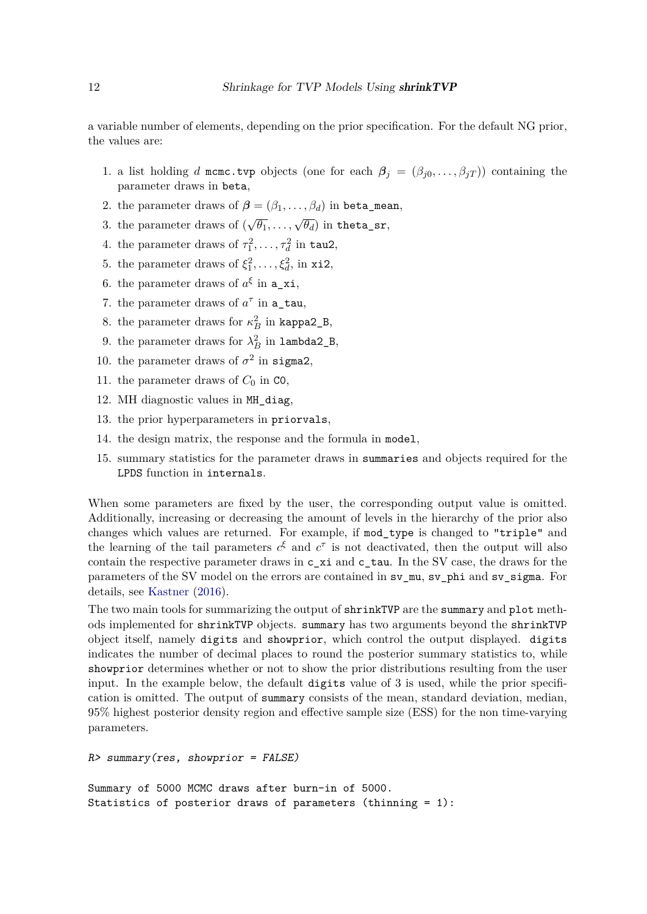a variable number of elements, depending on the prior specification. For the default NG prior, the values are:

- 1. a list holding *d* mcmc.tvp objects (one for each  $\beta_j = (\beta_{j0}, \ldots, \beta_{jT})$ ) containing the parameter draws in beta,
- 2. the parameter draws of  $\boldsymbol{\beta} = (\beta_1, \ldots, \beta_d)$  in beta\_mean,
- 3. the parameter draws of  $(\sqrt{\theta_1}, \ldots, \sqrt{\theta_d})$  in theta\_sr,
- 4. the parameter draws of  $\tau_1^2, \ldots, \tau_d^2$  in tau2,
- 5. the parameter draws of  $\xi_1^2, \ldots, \xi_d^2$ , in xi2,
- 6. the parameter draws of  $a^{\xi}$  in  $a_{x}$ ,
- 7. the parameter draws of  $a^{\tau}$  in  $a$ \_tau,
- 8. the parameter draws for  $\kappa_B^2$  in kappa2\_B,
- 9. the parameter draws for  $\lambda_B^2$  in  $\texttt{lambda2\_B}$ ,
- 10. the parameter draws of  $\sigma^2$  in sigma2,
- 11. the parameter draws of  $C_0$  in  $\texttt{CO}$ ,
- 12. MH diagnostic values in MH\_diag,
- 13. the prior hyperparameters in priorvals,
- 14. the design matrix, the response and the formula in model,
- 15. summary statistics for the parameter draws in summaries and objects required for the LPDS function in internals.

When some parameters are fixed by the user, the corresponding output value is omitted. Additionally, increasing or decreasing the amount of levels in the hierarchy of the prior also changes which values are returned. For example, if mod\_type is changed to "triple" and the learning of the tail parameters  $c^{\xi}$  and  $c^{\tau}$  is not deactivated, then the output will also contain the respective parameter draws in c\_xi and c\_tau. In the SV case, the draws for the parameters of the SV model on the errors are contained in sv\_mu, sv\_phi and sv\_sigma. For details, see [Kastner](#page-29-10) [\(2016\)](#page-29-10).

The two main tools for summarizing the output of shrinkTVP are the summary and plot methods implemented for shrinkTVP objects. summary has two arguments beyond the shrinkTVP object itself, namely digits and showprior, which control the output displayed. digits indicates the number of decimal places to round the posterior summary statistics to, while showprior determines whether or not to show the prior distributions resulting from the user input. In the example below, the default digits value of 3 is used, while the prior specification is omitted. The output of summary consists of the mean, standard deviation, median, 95% highest posterior density region and effective sample size (ESS) for the non time-varying parameters.

#### *R> summary(res, showprior = FALSE)*

Summary of 5000 MCMC draws after burn-in of 5000. Statistics of posterior draws of parameters (thinning = 1):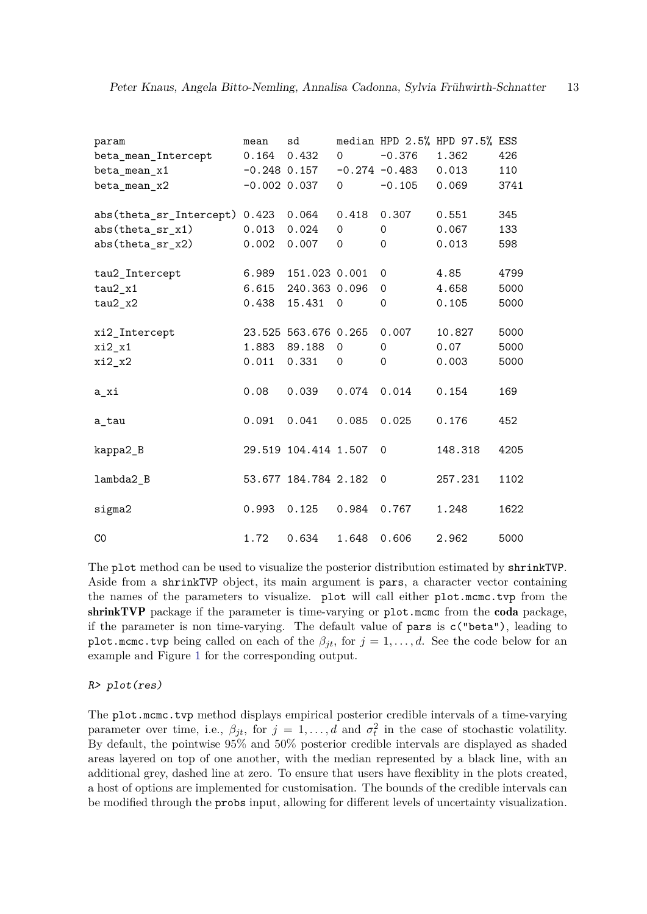| param                   | mean  | sd                   |             |                  | median HPD 2.5% HPD 97.5% ESS |      |
|-------------------------|-------|----------------------|-------------|------------------|-------------------------------|------|
| beta_mean_Intercept     | 0.164 | 0.432                | $\Omega$    | $-0.376$         | 1.362                         | 426  |
| beta_mean_x1            |       | $-0.248$ 0.157       |             | $-0.274 - 0.483$ | 0.013                         | 110  |
| beta_mean_x2            |       | $-0.002$ 0.037       | $\mathbf 0$ | $-0.105$         | 0.069                         | 3741 |
|                         |       |                      |             |                  |                               |      |
| abs(theta_sr_Intercept) | 0.423 | 0.064                | 0.418       | 0.307            | 0.551                         | 345  |
| abs(theta_sr_x1)        | 0.013 | 0.024                | $\Omega$    | $\Omega$         | 0.067                         | 133  |
| abs(theta_sr_x2)        | 0.002 | 0.007                | 0           | $\Omega$         | 0.013                         | 598  |
| tau2_Intercept          | 6.989 | 151.023 0.001        |             | $\mathbf 0$      | 4.85                          | 4799 |
| $tau2_x1$               | 6.615 | 240.363 0.096        |             | $\Omega$         | 4.658                         | 5000 |
| $tau2_x2$               | 0.438 | 15.431               | $\mathbf 0$ | $\mathbf 0$      | 0.105                         | 5000 |
| xi2_Intercept           |       | 23.525 563.676 0.265 |             | 0.007            | 10.827                        | 5000 |
| $xi2_x1$                | 1.883 | 89.188               | $\mathbf 0$ | $\mathbf 0$      | 0.07                          | 5000 |
| xi2_x2                  | 0.011 | 0.331                | 0           | $\mathbf 0$      | 0.003                         | 5000 |
|                         |       |                      |             |                  |                               |      |
| a_xi                    | 0.08  | 0.039                | 0.074       | 0.014            | 0.154                         | 169  |
|                         | 0.091 | 0.041                | 0.085       | 0.025            | 0.176                         | 452  |
| a tau                   |       |                      |             |                  |                               |      |
| kappa2_B                |       | 29.519 104.414 1.507 |             | $\Omega$         | 148.318                       | 4205 |
| lambda2_B               |       | 53.677 184.784 2.182 |             | 0                | 257.231                       | 1102 |
| sigma2                  | 0.993 | 0.125                | 0.984       | 0.767            | 1.248                         | 1622 |
|                         |       |                      |             |                  |                               |      |
| CO                      | 1.72  | 0.634                | 1.648       | 0.606            | 2.962                         | 5000 |

The plot method can be used to visualize the posterior distribution estimated by shrinkTVP. Aside from a shrinkTVP object, its main argument is pars, a character vector containing the names of the parameters to visualize. plot will call either plot.mcmc.tvp from the shrinkTVP package if the parameter is time-varying or plot.mcmc from the coda package, if the parameter is non time-varying. The default value of pars is c("beta"), leading to plot.mcmc.tvp being called on each of the  $\beta_{jt}$ , for  $j = 1, ..., d$ . See the code below for an example and Figure [1](#page-13-0) for the corresponding output.

#### *R> plot(res)*

The plot.mcmc.tvp method displays empirical posterior credible intervals of a time-varying parameter over time, i.e.,  $\beta_{jt}$ , for  $j = 1, ..., d$  and  $\sigma_t^2$  in the case of stochastic volatility. By default, the pointwise 95% and 50% posterior credible intervals are displayed as shaded areas layered on top of one another, with the median represented by a black line, with an additional grey, dashed line at zero. To ensure that users have flexiblity in the plots created, a host of options are implemented for customisation. The bounds of the credible intervals can be modified through the probs input, allowing for different levels of uncertainty visualization.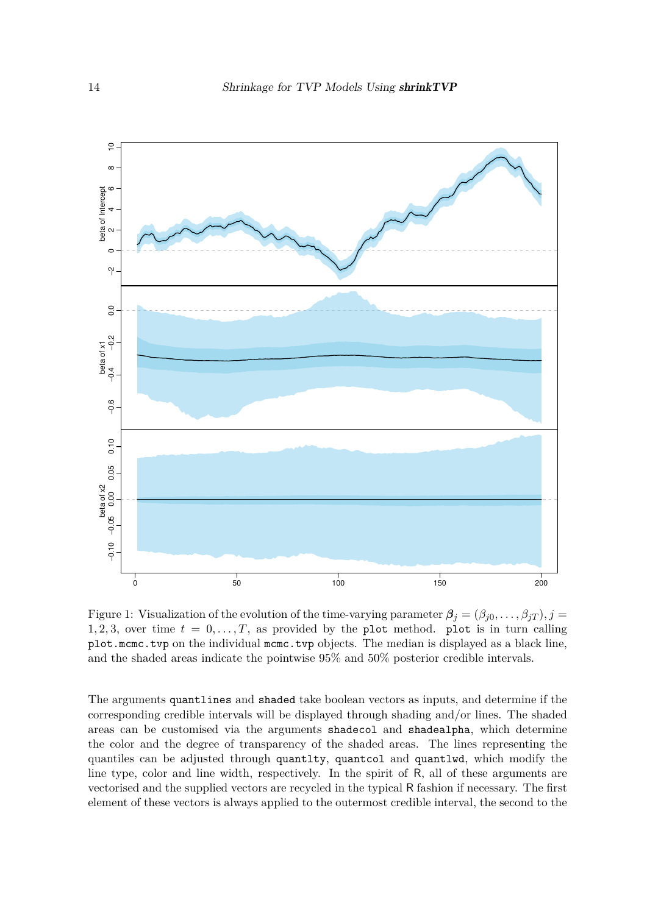<span id="page-13-0"></span>

Figure 1: Visualization of the evolution of the time-varying parameter  $\beta_j = (\beta_{j0}, \ldots, \beta_{jT}), j =$ 1, 2, 3, over time  $t = 0, \ldots, T$ , as provided by the plot method. plot is in turn calling plot.mcmc.tvp on the individual mcmc.tvp objects. The median is displayed as a black line, and the shaded areas indicate the pointwise 95% and 50% posterior credible intervals.

The arguments quantlines and shaded take boolean vectors as inputs, and determine if the corresponding credible intervals will be displayed through shading and/or lines. The shaded areas can be customised via the arguments shadecol and shadealpha, which determine the color and the degree of transparency of the shaded areas. The lines representing the quantiles can be adjusted through quantlty, quantcol and quantlwd, which modify the line type, color and line width, respectively. In the spirit of R, all of these arguments are vectorised and the supplied vectors are recycled in the typical R fashion if necessary. The first element of these vectors is always applied to the outermost credible interval, the second to the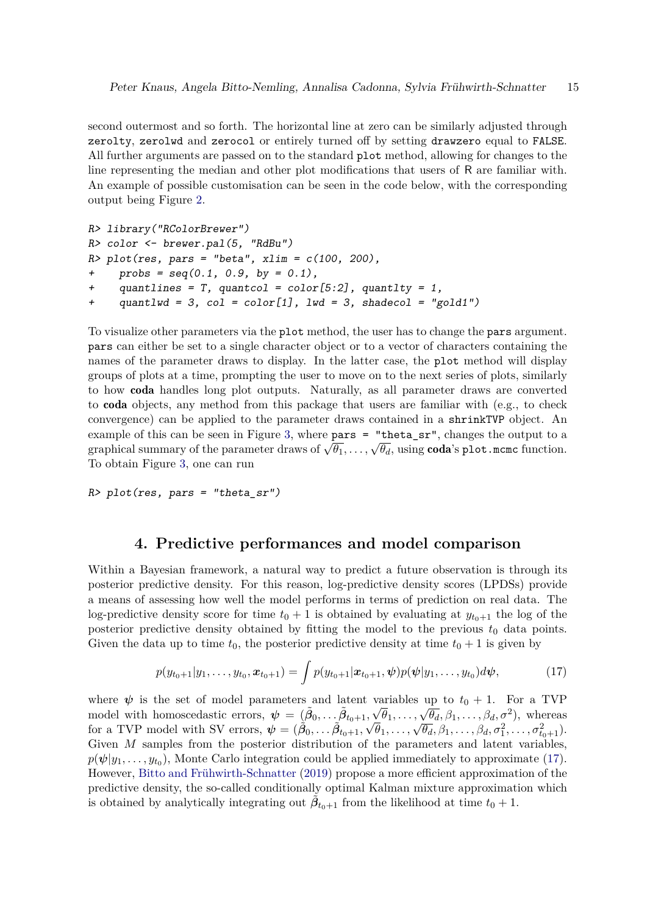second outermost and so forth. The horizontal line at zero can be similarly adjusted through zerolty, zerolwd and zerocol or entirely turned off by setting drawzero equal to FALSE. All further arguments are passed on to the standard plot method, allowing for changes to the line representing the median and other plot modifications that users of R are familiar with. An example of possible customisation can be seen in the code below, with the corresponding output being Figure [2.](#page-15-0)

```
R> library("RColorBrewer")
R> color <- brewer.pal(5, "RdBu")
R> plot(res, pars = "beta", xlim = c(100, 200),
    probs = seq(0.1, 0.9, by = 0.1),
+ quantlines = T, quantcol = color[5:2], quantlty = 1,
+ quantlwd = 3, col = color[1], lwd = 3, shadecol = "gold1")
```
To visualize other parameters via the plot method, the user has to change the pars argument. pars can either be set to a single character object or to a vector of characters containing the names of the parameter draws to display. In the latter case, the plot method will display groups of plots at a time, prompting the user to move on to the next series of plots, similarly to how coda handles long plot outputs. Naturally, as all parameter draws are converted to coda objects, any method from this package that users are familiar with (e.g., to check convergence) can be applied to the parameter draws contained in a shrinkTVP object. An example of this can be seen in Figure [3,](#page-16-0) where  $\text{pars}$  = "theta  $\text{sr}$ ", changes the output to a graphical summary of the parameter draws of  $\sqrt{\theta_1}, \ldots, \sqrt{\theta_d}$ , using **coda**'s plot.mcmc function. To obtain Figure [3,](#page-16-0) one can run

*R> plot(res, pars = "theta\_sr")*

# **4. Predictive performances and model comparison**

<span id="page-14-0"></span>Within a Bayesian framework, a natural way to predict a future observation is through its posterior predictive density. For this reason, log-predictive density scores (LPDSs) provide a means of assessing how well the model performs in terms of prediction on real data. The log-predictive density score for time  $t_0 + 1$  is obtained by evaluating at  $y_{t_0+1}$  the log of the posterior predictive density obtained by fitting the model to the previous  $t_0$  data points. Given the data up to time  $t_0$ , the posterior predictive density at time  $t_0 + 1$  is given by

<span id="page-14-1"></span>
$$
p(y_{t_0+1}|y_1,\ldots,y_{t_0},\boldsymbol{x}_{t_0+1})=\int p(y_{t_0+1}|\boldsymbol{x}_{t_0+1},\boldsymbol{\psi})p(\boldsymbol{\psi}|y_1,\ldots,y_{t_0})d\boldsymbol{\psi},
$$
\n(17)

where  $\psi$  is the set of model parameters and latent variables up to  $t_0 + 1$ . For a TVP model with homoscedastic errors,  $\psi = (\tilde{\beta}_0, \dots, \tilde{\beta}_{t_0+1}, \sqrt{\theta}_1, \dots, \sqrt{\theta}_d, \beta_1, \dots, \beta_d, \sigma^2)$ , whereas for a TVP model with SV errors,  $\psi = (\hat{\beta}_0, \dots, \hat{\beta}_{t_0+1}, \sqrt{\theta_1}, \dots, \sqrt{\theta_d}, \beta_1, \dots, \beta_d, \sigma_1^2, \dots, \sigma_{t_0+1}^2)$ . Given *M* samples from the posterior distribution of the parameters and latent variables,  $p(\psi|y_1,\ldots,y_{t_0})$ , Monte Carlo integration could be applied immediately to approximate [\(17\)](#page-14-1). However, [Bitto and Frühwirth-Schnatter](#page-28-0) [\(2019\)](#page-28-0) propose a more efficient approximation of the predictive density, the so-called conditionally optimal Kalman mixture approximation which is obtained by analytically integrating out  $\tilde{\beta}_{t_0+1}$  from the likelihood at time  $t_0+1$ .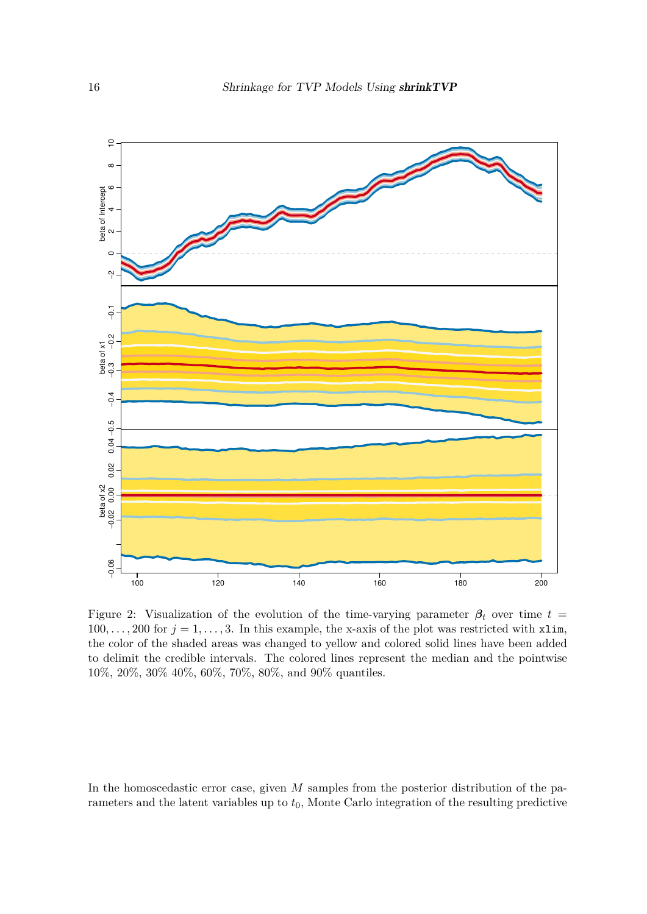<span id="page-15-0"></span>

Figure 2: Visualization of the evolution of the time-varying parameter  $\beta_t$  over time  $t =$  $100, \ldots, 200$  for  $j = 1, \ldots, 3$ . In this example, the x-axis of the plot was restricted with xlim, the color of the shaded areas was changed to yellow and colored solid lines have been added to delimit the credible intervals. The colored lines represent the median and the pointwise 10%, 20%, 30% 40%, 60%, 70%, 80%, and 90% quantiles.

In the homoscedastic error case, given *M* samples from the posterior distribution of the parameters and the latent variables up to  $t<sub>0</sub>$ , Monte Carlo integration of the resulting predictive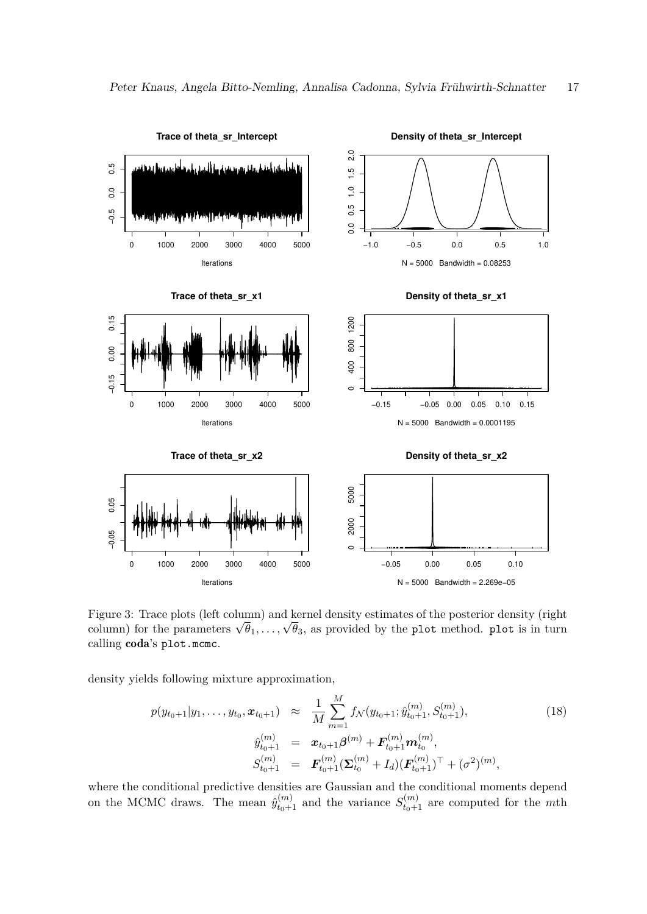<span id="page-16-0"></span>

Figure 3: Trace plots (left column) and kernel density estimates of the posterior density (right column) for the parameters  $\sqrt{\theta_1}, \ldots, \sqrt{\theta_3}$ , as provided by the plot method. plot is in turn calling coda's plot.mcmc.

density yields following mixture approximation,

<span id="page-16-1"></span>
$$
p(y_{t_0+1}|y_1,\ldots,y_{t_0},\boldsymbol{x}_{t_0+1}) \approx \frac{1}{M} \sum_{m=1}^M f_N(y_{t_0+1};\hat{y}_{t_0+1}^{(m)},S_{t_0+1}^{(m)}),
$$
  
\n
$$
\hat{y}_{t_0+1}^{(m)} = \boldsymbol{x}_{t_0+1} \boldsymbol{\beta}^{(m)} + \boldsymbol{F}_{t_0+1}^{(m)} \boldsymbol{m}_{t_0}^{(m)},
$$
  
\n
$$
S_{t_0+1}^{(m)} = \boldsymbol{F}_{t_0+1}^{(m)} (\boldsymbol{\Sigma}_{t_0}^{(m)} + I_d) (\boldsymbol{F}_{t_0+1}^{(m)})^\top + (\sigma^2)^{(m)},
$$
\n(18)

where the conditional predictive densities are Gaussian and the conditional moments depend on the MCMC draws. The mean  $\hat{y}_{t_0+1}^{(m)}$  and the variance  $S_{t_0+1}^{(m)}$  are computed for the *m*th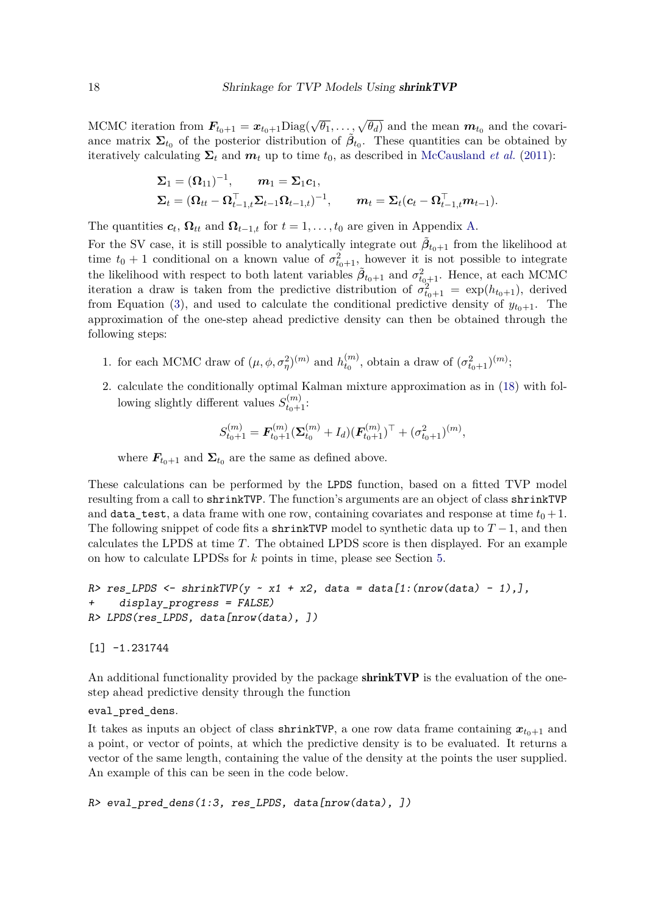MCMC iteration from  $\mathbf{F}_{t_0+1} = \mathbf{x}_{t_0+1} \text{Diag}(\sqrt{\theta_1}, \ldots, \sqrt{\theta_d})$  and the mean  $\mathbf{m}_{t_0}$  and the covariance matrix  $\Sigma_{t_0}$  of the posterior distribution of  $\tilde{\beta}_{t_0}$ . These quantities can be obtained by iteratively calculating  $\Sigma_t$  and  $m_t$  up to time  $t_0$ , as described in [McCausland](#page-29-13) *et al.* [\(2011\)](#page-29-13):

$$
\begin{aligned} &\boldsymbol{\Sigma}_1 = (\boldsymbol{\Omega}_{11})^{-1}, \qquad \boldsymbol{m}_1 = \boldsymbol{\Sigma}_1 \boldsymbol{c}_1, \\ &\boldsymbol{\Sigma}_t = (\boldsymbol{\Omega}_{tt} - \boldsymbol{\Omega}_{t-1,t}^\top \boldsymbol{\Sigma}_{t-1} \boldsymbol{\Omega}_{t-1,t})^{-1}, \qquad \boldsymbol{m}_t = \boldsymbol{\Sigma}_t (\boldsymbol{c}_t - \boldsymbol{\Omega}_{t-1,t}^\top \boldsymbol{m}_{t-1}). \end{aligned}
$$

The quantities  $c_t$ ,  $\Omega_{tt}$  and  $\Omega_{t-1,t}$  for  $t = 1, \ldots, t_0$  are given in Appendix [A.](#page-23-0)

For the SV case, it is still possible to analytically integrate out  $\tilde{\beta}_{t_0+1}$  from the likelihood at time  $t_0 + 1$  conditional on a known value of  $\sigma_{t_0+1}^2$ , however it is not possible to integrate the likelihood with respect to both latent variables  $\tilde{\beta}_{t_0+1}$  and  $\sigma_{t_0+1}^2$ . Hence, at each MCMC iteration a draw is taken from the predictive distribution of  $\sigma_{t_0+1}^2 = \exp(h_{t_0+1})$ , derived from Equation [\(3\)](#page-3-1), and used to calculate the conditional predictive density of  $y_{t_0+1}$ . The approximation of the one-step ahead predictive density can then be obtained through the following steps:

- 1. for each MCMC draw of  $(\mu, \phi, \sigma_{\eta}^2)^{(m)}$  and  $h_{t_0}^{(m)}$  $t_0^{(m)}$ , obtain a draw of  $(\sigma_{t_0+1}^2)^{(m)}$ ;
- 2. calculate the conditionally optimal Kalman mixture approximation as in [\(18\)](#page-16-1) with following slightly different values  $S_{t_0+1}^{(m)}$ :

$$
S_{t_0+1}^{(m)} = \pmb{F}_{t_0+1}^{(m)}(\pmb{\Sigma}_{t_0}^{(m)} + I_d)(\pmb{F}_{t_0+1}^{(m)})^\top + (\sigma_{t_0+1}^2)^{(m)},
$$

where  $\mathbf{F}_{t_0+1}$  and  $\mathbf{\Sigma}_{t_0}$  are the same as defined above.

These calculations can be performed by the LPDS function, based on a fitted TVP model resulting from a call to shrinkTVP. The function's arguments are an object of class shrinkTVP and **data** test, a data frame with one row, containing covariates and response at time  $t_0 + 1$ . The following snippet of code fits a shrinkTVP model to synthetic data up to  $T-1$ , and then calculates the LPDS at time *T*. The obtained LPDS score is then displayed. For an example on how to calculate LPDSs for *k* points in time, please see Section [5.](#page-18-0)

```
R res LPDS \leq shrinkTVP(y \leq x1 + x2, data = data[1:(nrow(data) - 1),],
+ display_progress = FALSE)
R> LPDS(res_LPDS, data[nrow(data), ])
```
[1] -1.231744

An additional functionality provided by the package shrink  $TVP$  is the evaluation of the onestep ahead predictive density through the function

#### eval\_pred\_dens.

It takes as inputs an object of class shrinkTVP, a one row data frame containing  $x_{t_0+1}$  and a point, or vector of points, at which the predictive density is to be evaluated. It returns a vector of the same length, containing the value of the density at the points the user supplied. An example of this can be seen in the code below.

*R> eval\_pred\_dens(1:3, res\_LPDS, data[nrow(data), ])*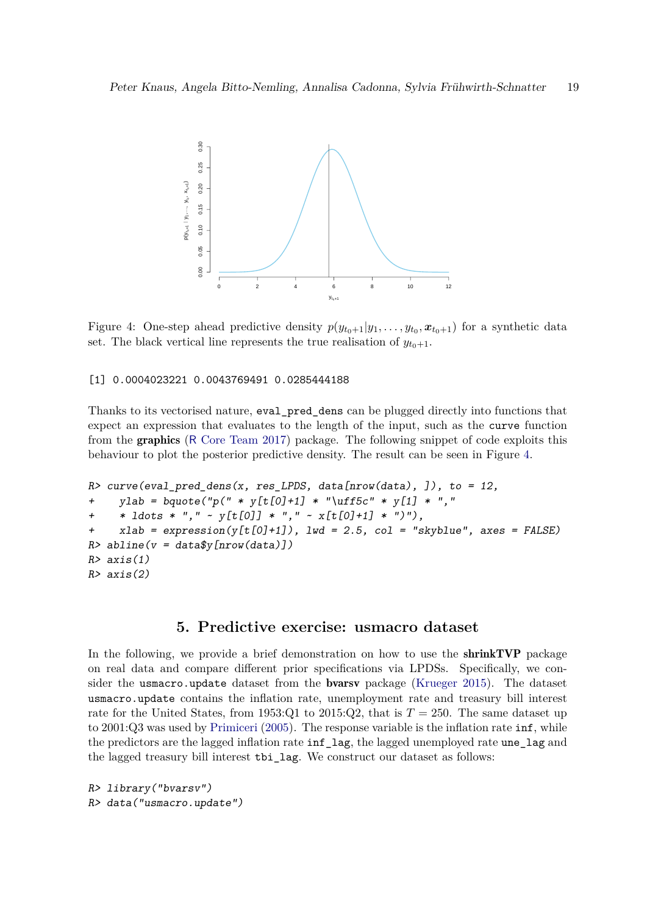<span id="page-18-1"></span>

Figure 4: One-step ahead predictive density  $p(y_{t_0+1}|y_1,\ldots,y_{t_0},x_{t_0+1})$  for a synthetic data set. The black vertical line represents the true realisation of  $y_{t_0+1}$ .

#### [1] 0.0004023221 0.0043769491 0.0285444188

Thanks to its vectorised nature, eval\_pred\_dens can be plugged directly into functions that expect an expression that evaluates to the length of the input, such as the curve function from the graphics (R [Core Team 2017\)](#page-30-1) package. The following snippet of code exploits this behaviour to plot the posterior predictive density. The result can be seen in Figure [4.](#page-18-1)

```
R> curve(eval_pred_dens(x, res_LPDS, data[nrow(data), ]), to = 12,
+ ylab = bquote("p(" * y[t[0]+1] * "\uff5c" * y[1] * ","
+ * ldots * "," ~ y[t[0]] * "," ~ x[t[0]+1] * ")"),
+ xlab = expression(y[t[0]+1]), lwd = 2.5, col = "skyblue", axes = FALSE)
R> abline(v = data$y[nrow(data)])
R> axis(1)
R> axis(2)
```
# **5. Predictive exercise: usmacro dataset**

<span id="page-18-0"></span>In the following, we provide a brief demonstration on how to use the **shrinkTVP** package on real data and compare different prior specifications via LPDSs. Specifically, we consider the usmacro.update dataset from the bvarsv package [\(Krueger 2015\)](#page-29-4). The dataset usmacro.update contains the inflation rate, unemployment rate and treasury bill interest rate for the United States, from 1953:Q1 to 2015:Q2, that is  $T = 250$ . The same dataset up to 2001:Q3 was used by [Primiceri](#page-30-0) [\(2005\)](#page-30-0). The response variable is the inflation rate inf, while the predictors are the lagged inflation rate inf\_lag, the lagged unemployed rate une\_lag and the lagged treasury bill interest tbi\_lag. We construct our dataset as follows:

```
R> library("bvarsv")
R> data("usmacro.update")
```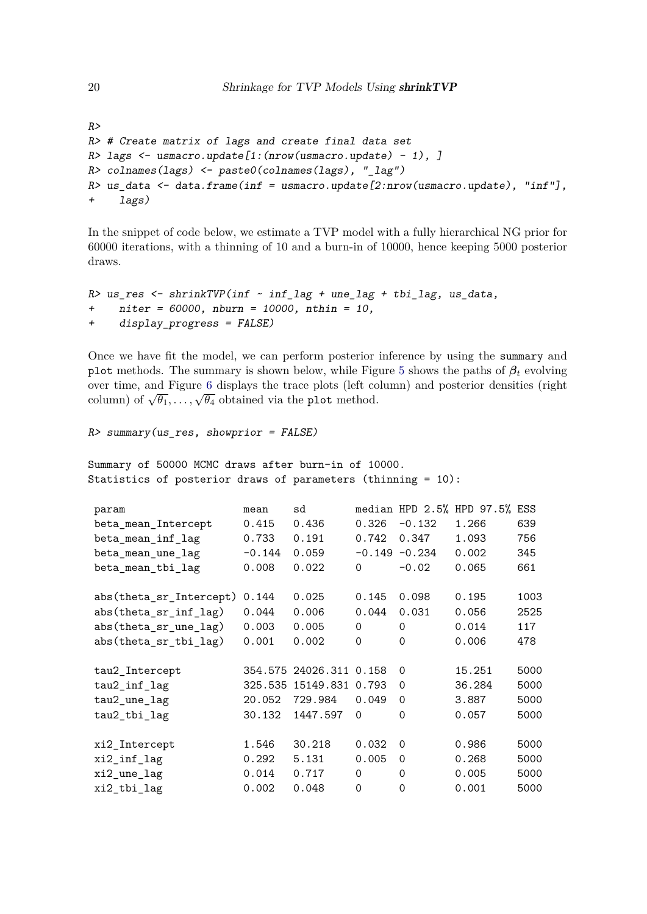```
R>
R> # Create matrix of lags and create final data set
R> lags <- usmacro.update[1:(nrow(usmacro.update) - 1), ]
R> colnames(lags) <- paste0(colnames(lags), "_lag")
R> us_data <- data.frame(inf = usmacro.update[2:nrow(usmacro.update), "inf"],
+ lags)
```
In the snippet of code below, we estimate a TVP model with a fully hierarchical NG prior for 60000 iterations, with a thinning of 10 and a burn-in of 10000, hence keeping 5000 posterior draws.

```
R> us_res <- shrinkTVP(inf ~ inf_lag + une_lag + tbi_lag, us_data,
+ niter = 60000, nburn = 10000, nthin = 10,
+ display_progress = FALSE)
```
Once we have fit the model, we can perform posterior inference by using the summary and plot methods. The summary is shown below, while Figure [5](#page-21-0) shows the paths of  $\beta_t$  evolving over time, and Figure [6](#page-22-0) displays the trace plots (left column) and posterior densities (right column) of  $\sqrt{\theta_1}, \ldots, \sqrt{\theta_4}$  obtained via the plot method.

```
R> summary(us_res, showprior = FALSE)
```
Summary of 50000 MCMC draws after burn-in of 10000. Statistics of posterior draws of parameters (thinning = 10):

| param                   | mean     | sd                      |             | median HPD 2.5%  | HPD 97.5% | ESS  |
|-------------------------|----------|-------------------------|-------------|------------------|-----------|------|
| beta_mean_Intercept     | 0.415    | 0.436                   | 0.326       | $-0.132$         | 1.266     | 639  |
| beta_mean_inf_lag       | 0.733    | 0.191                   | 0.742       | 0.347            | 1.093     | 756  |
| beta_mean_une_lag       | $-0.144$ | 0.059                   |             | $-0.149 - 0.234$ | 0.002     | 345  |
| beta_mean_tbi_lag       | 0.008    | 0.022                   | $\Omega$    | $-0.02$          | 0.065     | 661  |
| abs(theta_sr_Intercept) | 0.144    | 0.025                   | 0.145       | 0.098            | 0.195     | 1003 |
| abs(theta_sr_inf_lag)   | 0.044    | 0.006                   | 0.044       | 0.031            | 0.056     | 2525 |
| abs(theta_sr_une_lag)   | 0.003    | 0.005                   | $\Omega$    | $\Omega$         | 0.014     | 117  |
| abs(theta_sr_tbi_lag)   | 0.001    | 0.002                   | $\mathbf 0$ | $\Omega$         | 0.006     | 478  |
| tau2_Intercept          |          | 354.575 24026.311 0.158 |             | $\Omega$         | 15.251    | 5000 |
| tau2_inf_lag            |          | 325.535 15149.831 0.793 |             | 0                | 36.284    | 5000 |
| tau2_une_lag            | 20.052   | 729.984                 | 0.049       | $\Omega$         | 3.887     | 5000 |
| tau2_tbi_lag            | 30.132   | 1447.597                | $\Omega$    | 0                | 0.057     | 5000 |
| xi2_Intercept           | 1.546    | 30.218                  | 0.032       | $\Omega$         | 0.986     | 5000 |
| xi2_inf_lag             | 0.292    | 5.131                   | 0.005       | $\Omega$         | 0.268     | 5000 |
| xi2_une_lag             | 0.014    | 0.717                   | $\Omega$    | $\Omega$         | 0.005     | 5000 |
| xi2_tbi_lag             | 0.002    | 0.048                   | $\Omega$    | $\mathbf 0$      | 0.001     | 5000 |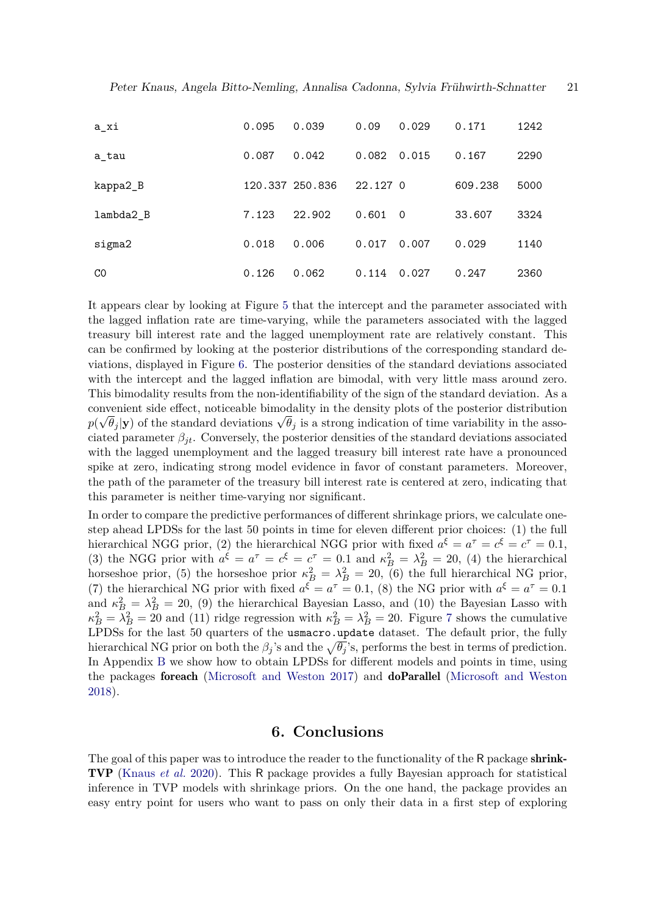| a_xi      | 0.095 | 0.039           | 0.09     | 0.029 | 0.171   | 1242 |
|-----------|-------|-----------------|----------|-------|---------|------|
| a tau     | 0.087 | 0.042           | 0.082    | 0.015 | 0.167   | 2290 |
| kappa2_B  |       | 120.337 250.836 | 22.127 0 |       | 609.238 | 5000 |
| lambda2 B | 7.123 | 22.902          | 0.601    | - 0   | 33.607  | 3324 |
| sigma2    | 0.018 | 0.006           | 0.017    | 0.007 | 0.029   | 1140 |
| CO        | 0.126 | 0.062           | 0.114    | 0.027 | 0.247   | 2360 |

It appears clear by looking at Figure [5](#page-21-0) that the intercept and the parameter associated with the lagged inflation rate are time-varying, while the parameters associated with the lagged treasury bill interest rate and the lagged unemployment rate are relatively constant. This can be confirmed by looking at the posterior distributions of the corresponding standard deviations, displayed in Figure [6.](#page-22-0) The posterior densities of the standard deviations associated with the intercept and the lagged inflation are bimodal, with very little mass around zero. This bimodality results from the non-identifiability of the sign of the standard deviation. As a convenient side effect, noticeable bimodality in the density plots of the posterior distribution  $p(\sqrt{\theta_j}|\mathbf{y})$  of the standard deviations  $\sqrt{\theta_j}$  is a strong indication of time variability in the associated parameter  $\beta_{it}$ . Conversely, the posterior densities of the standard deviations associated with the lagged unemployment and the lagged treasury bill interest rate have a pronounced spike at zero, indicating strong model evidence in favor of constant parameters. Moreover, the path of the parameter of the treasury bill interest rate is centered at zero, indicating that this parameter is neither time-varying nor significant.

In order to compare the predictive performances of different shrinkage priors, we calculate onestep ahead LPDSs for the last 50 points in time for eleven different prior choices: (1) the full hierarchical NGG prior, (2) the hierarchical NGG prior with fixed  $a^{\xi} = a^{\tau} = c^{\xi} = c^{\tau} = 0.1$ , (3) the NGG prior with  $a^{\xi} = a^{\tau} = c^{\xi} = c^{\tau} = 0.1$  and  $\kappa_B^2 = \lambda_B^2 = 20$ , (4) the hierarchical horseshoe prior, (5) the horseshoe prior  $\kappa_B^2 = \lambda_B^2 = 20$ , (6) the full hierarchical NG prior, (7) the hierarchical NG prior with fixed  $a^{\xi} = a^{\tau} = 0.1$ , (8) the NG prior with  $a^{\xi} = a^{\tau} = 0.1$ and  $\kappa_B^2 = \lambda_B^2 = 20$ , (9) the hierarchical Bayesian Lasso, and (10) the Bayesian Lasso with  $\kappa_B^2 = \lambda_B^2 = 20$  and (11) ridge regression with  $\kappa_B^2 = \lambda_B^2 = 20$ . Figure [7](#page-23-1) shows the cumulative LPDSs for the last 50 quarters of the usmacro.update dataset. The default prior, the fully hierarchical NG prior on both the  $\beta_j$ 's and the  $\sqrt{\theta_j}$ 's, performs the best in terms of prediction. In Appendix [B](#page-24-0) we show how to obtain LPDSs for different models and points in time, using the packages foreach [\(Microsoft and Weston 2017\)](#page-30-13) and doParallel [\(Microsoft and Weston](#page-30-14) [2018\)](#page-30-14).

## **6. Conclusions**

<span id="page-20-0"></span>The goal of this paper was to introduce the reader to the functionality of the R package shrink-TVP [\(Knaus](#page-29-0) *et al.* [2020\)](#page-29-0). This R package provides a fully Bayesian approach for statistical inference in TVP models with shrinkage priors. On the one hand, the package provides an easy entry point for users who want to pass on only their data in a first step of exploring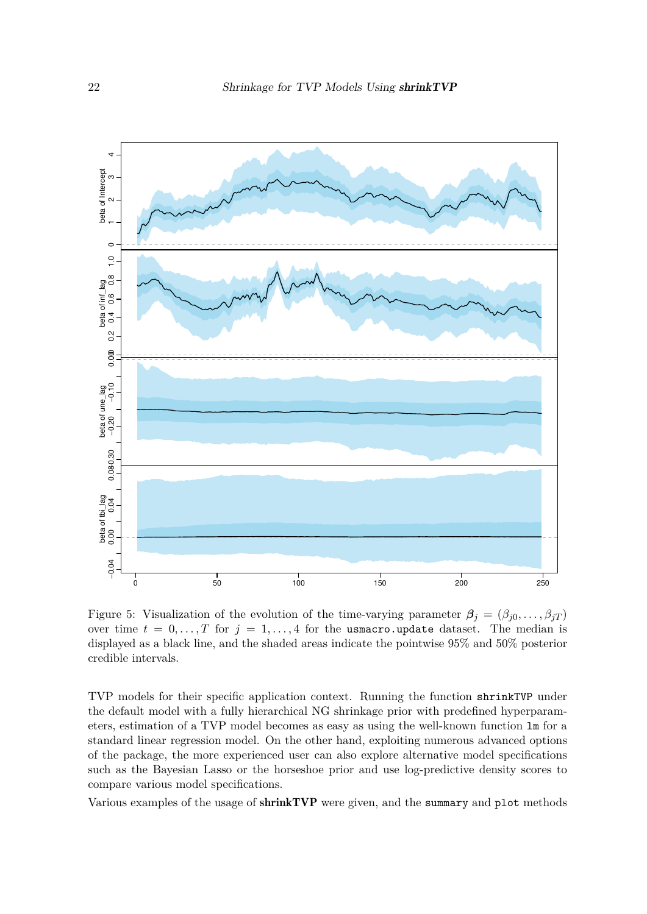<span id="page-21-0"></span>

Figure 5: Visualization of the evolution of the time-varying parameter  $\beta_j = (\beta_{j0}, \ldots, \beta_{jT})$ over time  $t = 0, \ldots, T$  for  $j = 1, \ldots, 4$  for the usmacro.update dataset. The median is displayed as a black line, and the shaded areas indicate the pointwise 95% and 50% posterior credible intervals.

TVP models for their specific application context. Running the function shrinkTVP under the default model with a fully hierarchical NG shrinkage prior with predefined hyperparameters, estimation of a TVP model becomes as easy as using the well-known function lm for a standard linear regression model. On the other hand, exploiting numerous advanced options of the package, the more experienced user can also explore alternative model specifications such as the Bayesian Lasso or the horseshoe prior and use log-predictive density scores to compare various model specifications.

Various examples of the usage of shrinkTVP were given, and the summary and plot methods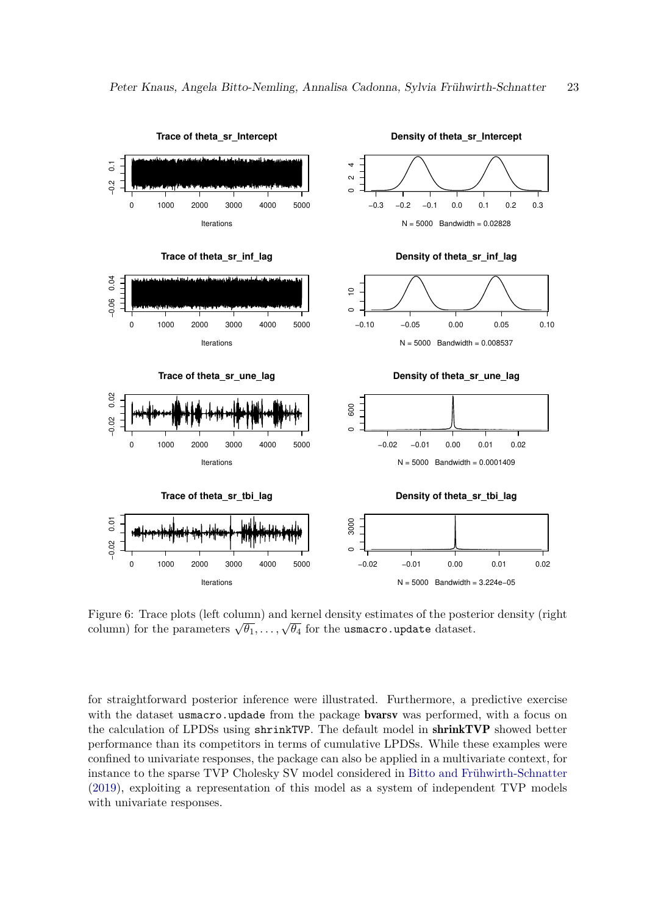<span id="page-22-0"></span>

Figure 6: Trace plots (left column) and kernel density estimates of the posterior density (right column) for the parameters  $\sqrt{\theta_1}, \ldots, \sqrt{\theta_4}$  for the usmacro.update dataset.

for straightforward posterior inference were illustrated. Furthermore, a predictive exercise with the dataset usmacro.updade from the package **bvarsv** was performed, with a focus on the calculation of LPDSs using shrinkTVP. The default model in shrinkTVP showed better performance than its competitors in terms of cumulative LPDSs. While these examples were confined to univariate responses, the package can also be applied in a multivariate context, for instance to the sparse TVP Cholesky SV model considered in [Bitto and Frühwirth-Schnatter](#page-28-0) [\(2019\)](#page-28-0), exploiting a representation of this model as a system of independent TVP models with univariate responses.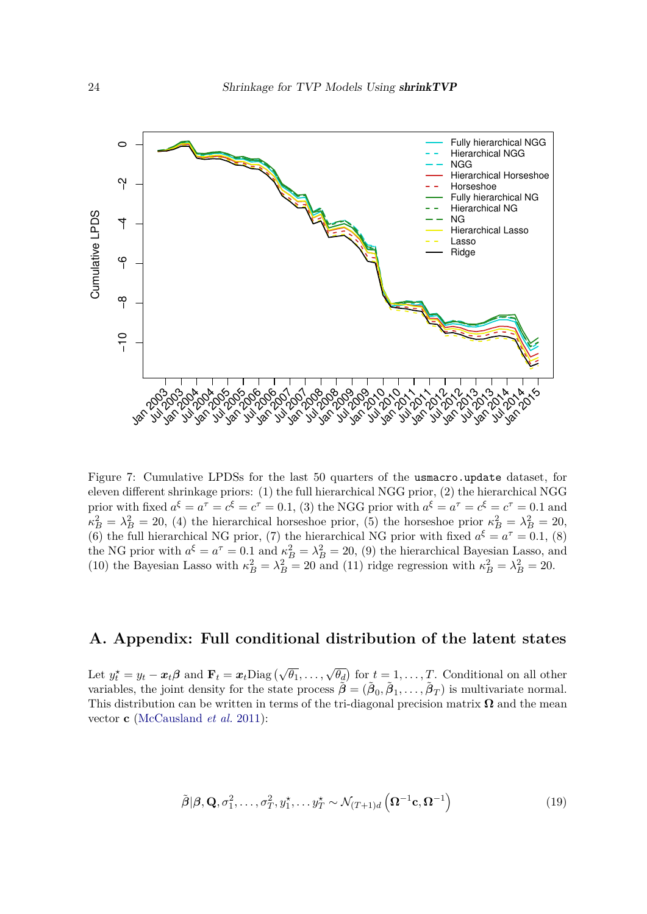<span id="page-23-1"></span>

Figure 7: Cumulative LPDSs for the last 50 quarters of the usmacro.update dataset, for eleven different shrinkage priors: (1) the full hierarchical NGG prior, (2) the hierarchical NGG prior with fixed  $a^{\xi} = a^{\tau} = c^{\xi} = c^{\tau} = 0.1$ , (3) the NGG prior with  $a^{\xi} = a^{\tau} = c^{\xi} = c^{\tau} = 0.1$  and  $\kappa_B^2 = \lambda_B^2 = 20$ , (4) the hierarchical horseshoe prior, (5) the horseshoe prior  $\kappa_B^2 = \lambda_B^2 = 20$ , (6) the full hierarchical NG prior, (7) the hierarchical NG prior with fixed  $a^{\xi} = a^{\tau} = 0.1$ , (8) the NG prior with  $a^{\xi} = a^{\tau} = 0.1$  and  $\kappa_B^2 = \lambda_B^2 = 20$ , (9) the hierarchical Bayesian Lasso, and (10) the Bayesian Lasso with  $\kappa_B^2 = \lambda_B^2 = 20$  and (11) ridge regression with  $\kappa_B^2 = \lambda_B^2 = 20$ .

# <span id="page-23-0"></span>**A. Appendix: Full conditional distribution of the latent states**

Let  $y_t^* = y_t - x_t \beta$  and  $\mathbf{F}_t = x_t \text{Diag}(\sqrt{\theta_1}, \dots, \sqrt{\theta_d})$  for  $t = 1, \dots, T$ . Conditional on all other variables, the joint density for the state process  $\tilde{\boldsymbol{\beta}} = (\tilde{\boldsymbol{\beta}}_0, \tilde{\boldsymbol{\beta}}_1, \dots, \tilde{\boldsymbol{\beta}}_T)$  is multivariate normal. This distribution can be written in terms of the tri-diagonal precision matrix  $\Omega$  and the mean vector **c** [\(McCausland](#page-29-13) *et al.* [2011\)](#page-29-13):

$$
\tilde{\boldsymbol{\beta}}|\boldsymbol{\beta}, \mathbf{Q}, \sigma_1^2, \dots, \sigma_T^2, y_1^*, \dots y_T^* \sim \mathcal{N}_{(T+1)d} \left(\mathbf{\Omega}^{-1}\mathbf{c}, \mathbf{\Omega}^{-1}\right)
$$
\n(19)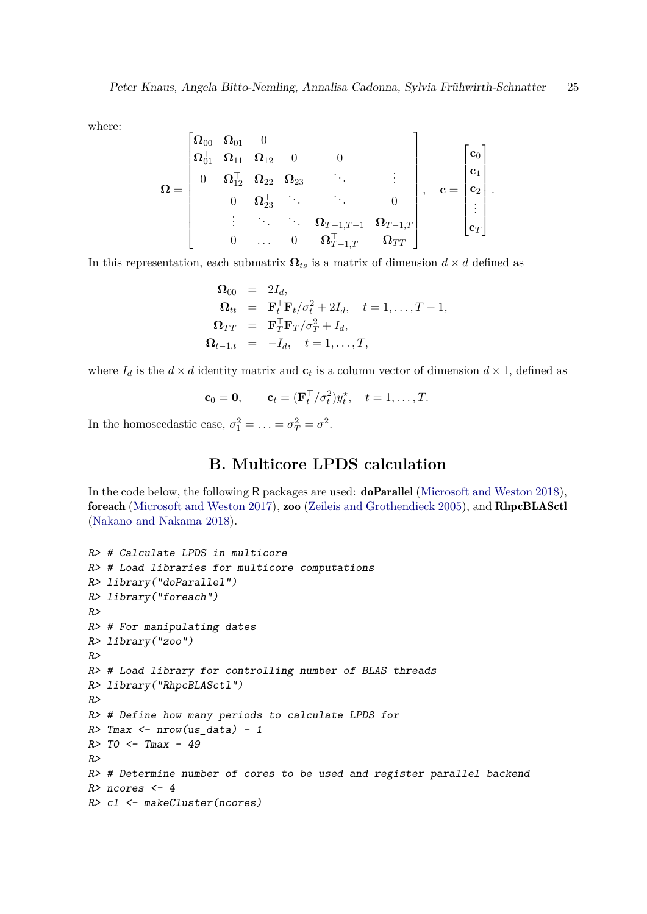$\overline{a}$ 

where:

$$
\bm{\Omega} = \begin{bmatrix} \bm{\Omega}_{00} & \bm{\Omega}_{01} & 0 & & & \\ \bm{\Omega}_{01}^\top & \bm{\Omega}_{11} & \bm{\Omega}_{12} & 0 & 0 & & \\ 0 & \bm{\Omega}_{12}^\top & \bm{\Omega}_{22} & \bm{\Omega}_{23} & \ddots & & \vdots & \\ & & 0 & \bm{\Omega}_{23}^\top & \ddots & \ddots & 0 & \\ & & & \vdots & \ddots & \ddots & \bm{\Omega}_{T-1,T-1} & \bm{\Omega}_{T-1,T} \\ & & & 0 & \dots & 0 & \bm{\Omega}_{T-1,T}^\top & \bm{\Omega}_{TT} \end{bmatrix}, \quad \mathbf{c} = \begin{bmatrix} \mathbf{c}_0 \\ \mathbf{c}_1 \\ \vdots \\ \mathbf{c}_T \\ \mathbf{c}_T \end{bmatrix}.
$$

In this representation, each submatrix  $\Omega_{ts}$  is a matrix of dimension  $d \times d$  defined as

$$
\begin{array}{rcl}\n\mathbf{\Omega}_{00} & = & 2I_d, \\
\mathbf{\Omega}_{tt} & = & \mathbf{F}_t^\top \mathbf{F}_t / \sigma_t^2 + 2I_d, \quad t = 1, \dots, T - 1, \\
\mathbf{\Omega}_{TT} & = & \mathbf{F}_T^\top \mathbf{F}_T / \sigma_T^2 + I_d, \\
\mathbf{\Omega}_{t-1,t} & = & -I_d, \quad t = 1, \dots, T,\n\end{array}
$$

where  $I_d$  is the  $d \times d$  identity matrix and  $c_t$  is a column vector of dimension  $d \times 1$ , defined as

$$
\mathbf{c}_0 = \mathbf{0}, \qquad \mathbf{c}_t = (\mathbf{F}_t^\top / \sigma_t^2) y_t^\star, \quad t = 1, \dots, T.
$$

In the homoscedastic case,  $\sigma_1^2 = \ldots = \sigma_T^2 = \sigma^2$ .

 $\overline{a}$ 

# **B. Multicore LPDS calculation**

<span id="page-24-0"></span>In the code below, the following R packages are used: doParallel [\(Microsoft and Weston 2018\)](#page-30-14), foreach [\(Microsoft and Weston 2017\)](#page-30-13), zoo [\(Zeileis and Grothendieck 2005\)](#page-31-0), and RhpcBLASctl [\(Nakano and Nakama 2018\)](#page-30-15).

```
R> # Calculate LPDS in multicore
R> # Load libraries for multicore computations
R> library("doParallel")
R> library("foreach")
R>
R> # For manipulating dates
R> library("zoo")
R>
R> # Load library for controlling number of BLAS threads
R> library("RhpcBLASctl")
R>
R> # Define how many periods to calculate LPDS for
R> Tmax <- nrow(us_data) - 1
R> T0 <- Tmax - 49
R>
R> # Determine number of cores to be used and register parallel backend
R> ncores <- 4
R> cl <- makeCluster(ncores)
```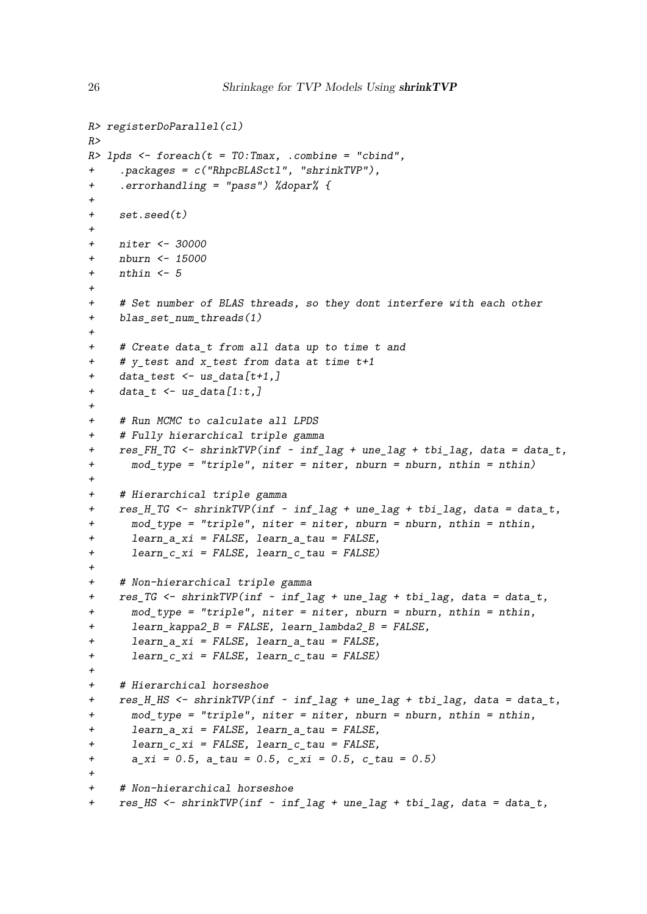```
R> registerDoParallel(cl)
R>
R> lpds <- foreach(t = T0:Tmax, .combine = "cbind",
     + .packages = c("RhpcBLASctl", "shrinkTVP"),
+ .errorhandling = "pass") %dopar% {
+
+ set.seed(t)
+
+ niter <- 30000
+ nburn <- 15000
+ nthin <- 5
+
+ # Set number of BLAS threads, so they dont interfere with each other
+ blas_set_num_threads(1)
+
+ # Create data_t from all data up to time t and
+ # y_test and x_test from data at time t+1
+ data_test <- us_data[t+1,]
+ data_t <- us_data[1:t,]
+
+ # Run MCMC to calculate all LPDS
+ # Fully hierarchical triple gamma
+ res_FH_TG <- shrinkTVP(inf ~ inf_lag + une_lag + tbi_lag, data = data_t,
+ mod_type = "triple", niter = niter, nburn = nburn, nthin = nthin)
+
+ # Hierarchical triple gamma
+ res_H_TG <- shrinkTVP(inf ~ inf_lag + une_lag + tbi_lag, data = data_t,
+ mod_type = "triple", niter = niter, nburn = nburn, nthin = nthin,
+ learn_a_xi = FALSE, learn_a_tau = FALSE,
+ learn_c_xi = FALSE, learn_c_tau = FALSE)
+
+ # Non-hierarchical triple gamma
    + res_TG <- shrinkTVP(inf ~ inf_lag + une_lag + tbi_lag, data = data_t,
+ mod_type = "triple", niter = niter, nburn = nburn, nthin = nthin,
+ learn_kappa2_B = FALSE, learn_lambda2_B = FALSE,
+ learn_a_xi = FALSE, learn_a_tau = FALSE,
+ learn_c_xi = FALSE, learn_c_tau = FALSE)
+
+ # Hierarchical horseshoe
+ res_H_HS <- shrinkTVP(inf ~ inf_lag + une_lag + tbi_lag, data = data_t,
+ mod_type = "triple", niter = niter, nburn = nburn, nthin = nthin,
+ learn_a_xi = FALSE, learn_a_tau = FALSE,
+ learn_c_xi = FALSE, learn_c_tau = FALSE,
+ a_xi = 0.5, a_tau = 0.5, c_xi = 0.5, c_tau = 0.5)
+
+ # Non-hierarchical horseshoe
+ res_HS <- shrinkTVP(inf ~ inf_lag + une_lag + tbi_lag, data = data_t,
```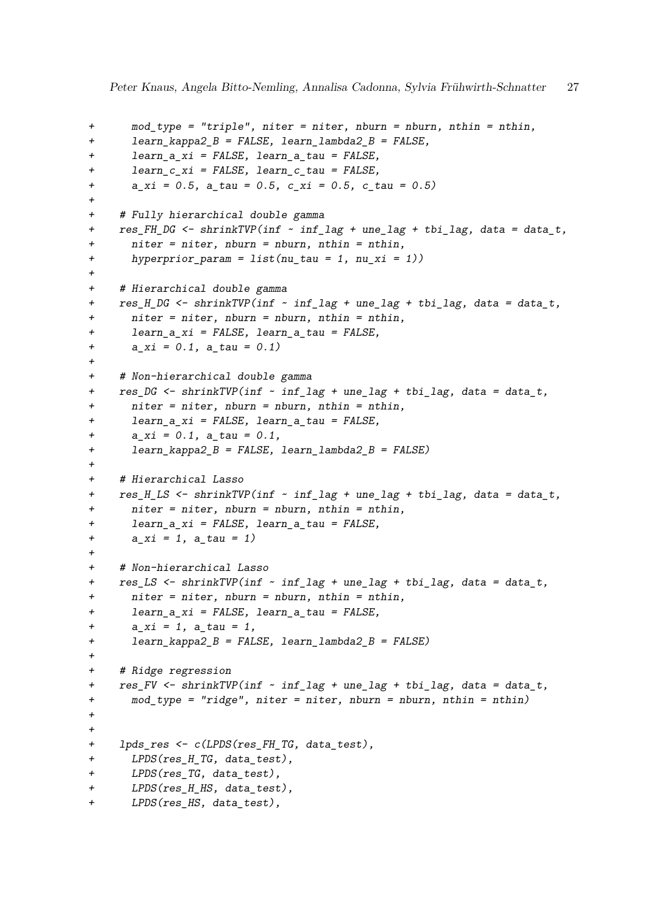```
+ mod_type = "triple", niter = niter, nburn = nburn, nthin = nthin,
+ learn_kappa2_B = FALSE, learn_lambda2_B = FALSE,
+ learn_a_xi = FALSE, learn_a_tau = FALSE,
+ learn_c_xi = FALSE, learn_c_tau = FALSE,
+ a_xi = 0.5, a_tau = 0.5, c_xi = 0.5, c_tau = 0.5)
+
+ # Fully hierarchical double gamma
+ res_FH_DG <- shrinkTVP(inf ~ inf_lag + une_lag + tbi_lag, data = data_t,
+ niter = niter, nburn = nburn, nthin = nthin,
+ hyperprior_param = list(nu_tau = 1, nu_xi = 1))
+
+ # Hierarchical double gamma
+ res_H_DG <- shrinkTVP(inf ~ inf_lag + une_lag + tbi_lag, data = data_t,
+ niter = niter, nburn = nburn, nthin = nthin,
+ learn_a_xi = FALSE, learn_a_tau = FALSE,
+ a_xi = 0.1, a_tau = 0.1)
+
+ # Non-hierarchical double gamma
+ res_DG <- shrinkTVP(inf ~ inf_lag + une_lag + tbi_lag, data = data_t,
+ niter = niter, nburn = nburn, nthin = nthin,
+ learn_a_xi = FALSE, learn_a_tau = FALSE,
+ a_xi = 0.1, a_tau = 0.1,
+ learn_kappa2_B = FALSE, learn_lambda2_B = FALSE)
+
+ # Hierarchical Lasso
+ res_H_LS <- shrinkTVP(inf ~ inf_lag + une_lag + tbi_lag, data = data_t,
+ niter = niter, nburn = nburn, nthin = nthin,
+ learn_a_xi = FALSE, learn_a_tau = FALSE,
+ a_xi = 1, a_tau = 1)
+
+ # Non-hierarchical Lasso
+ res_LS <- shrinkTVP(inf ~ inf_lag + une_lag + tbi_lag, data = data_t,
+ niter = niter, nburn = nburn, nthin = nthin,
+ learn_a_xi = FALSE, learn_a_tau = FALSE,
+ a_xi = 1, a_tau = 1,
+ learn_kappa2_B = FALSE, learn_lambda2_B = FALSE)
+
+ # Ridge regression
+ res_FV <- shrinkTVP(inf ~ inf_lag + une_lag + tbi_lag, data = data_t,
+ mod_type = "ridge", niter = niter, nburn = nburn, nthin = nthin)
+
+
+ lpds_res <- c(LPDS(res_FH_TG, data_test),
+ LPDS(res_H_TG, data_test),
+ LPDS(res_TG, data_test),
+ LPDS(res_H_HS, data_test),
+ LPDS(res_HS, data_test),
```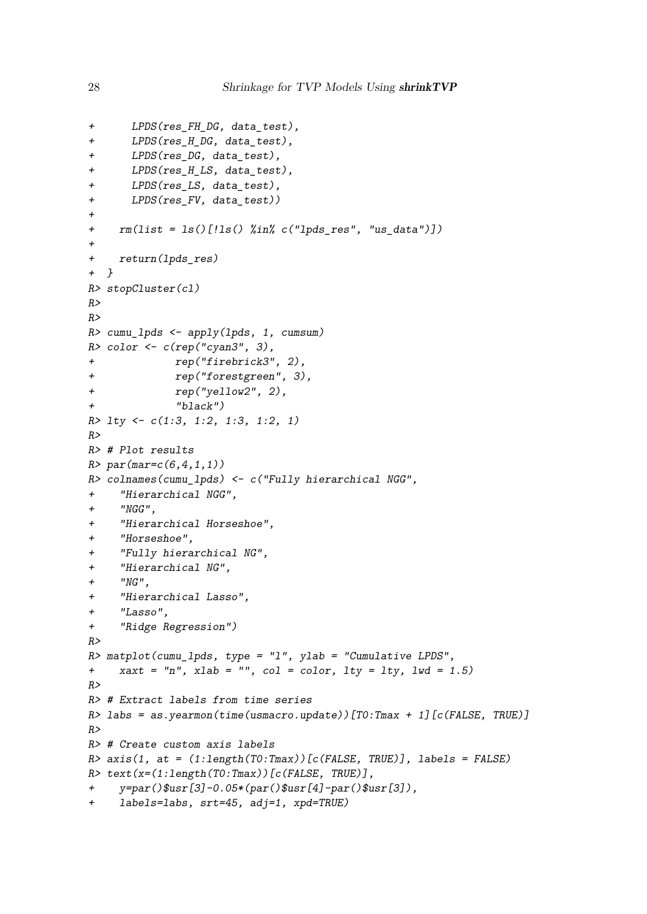```
+ LPDS(res_FH_DG, data_test),
+ LPDS(res_H_DG, data_test),
+ LPDS(res_DG, data_test),
+ LPDS(res_H_LS, data_test),
+ LPDS(res_LS, data_test),
+ LPDS(res_FV, data_test))
+
+ rm(list = ls()[!ls() %in% c("lpds_res", "us_data")])
+
+ return(lpds_res)
+ }
R> stopCluster(cl)
R>
R>
R> cumu_lpds <- apply(lpds, 1, cumsum)
R> color <- c(rep("cyan3", 3),
+ rep("firebrick3", 2),
+ rep("forestgreen", 3),
+ rep("yellow2", 2),
+ "black")
R> lty <- c(1:3, 1:2, 1:3, 1:2, 1)
R>
R> # Plot results
R> par(mar=c(6,4,1,1))
R> colnames(cumu_lpds) <- c("Fully hierarchical NGG",
+ "Hierarchical NGG",
+ "NGG",
+ "Hierarchical Horseshoe",
+ "Horseshoe",
+ "Fully hierarchical NG",
+ "Hierarchical NG",
+ "NG",
+ "Hierarchical Lasso",
+ "Lasso",
+ "Ridge Regression")
R>
R> matplot(cumu_lpds, type = "l", ylab = "Cumulative LPDS",
+ xaxt = "n", xlab = "", col = color, lty = lty, lwd = 1.5)
R>
R> # Extract labels from time series
R> labs = as.yearmon(time(usmacro.update))[T0:Tmax + 1][c(FALSE, TRUE)]
R>
R> # Create custom axis labels
R> axis(1, at = (1:length(T0:Tmax))[c(FALSE, TRUE)], labels = FALSE)
R> text(x=(1:length(T0:Tmax))[c(FALSE, TRUE)],
+ y=par()$usr[3]-0.05*(par()$usr[4]-par()$usr[3]),
+ labels=labs, srt=45, adj=1, xpd=TRUE)
```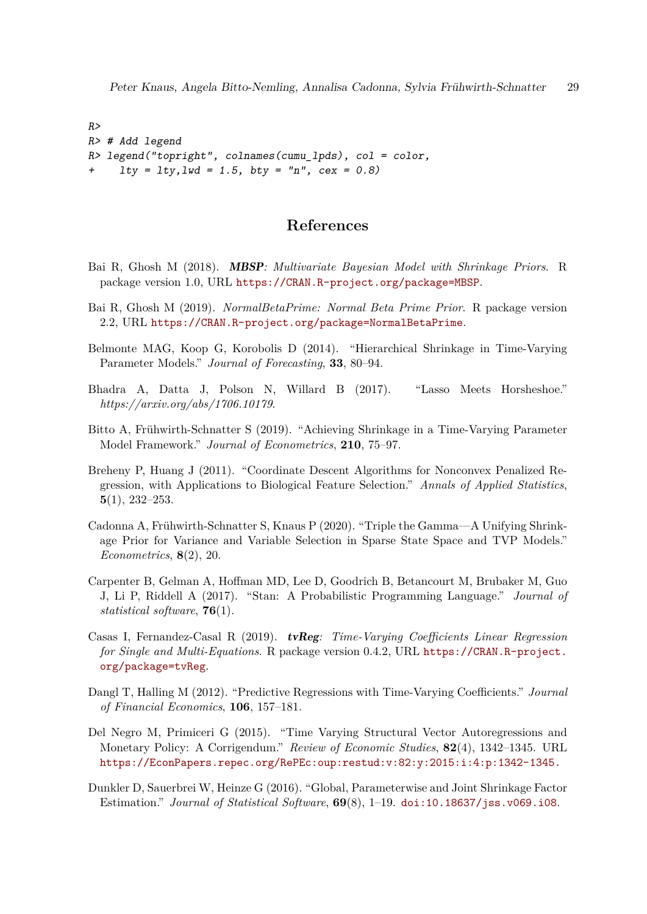*R> R> # Add legend R> legend("topright", colnames(cumu\_lpds), col = color, + lty = lty,lwd = 1.5, bty = "n", cex = 0.8)*

# **References**

- <span id="page-28-11"></span>Bai R, Ghosh M (2018). MBSP*: Multivariate Bayesian Model with Shrinkage Priors*. R package version 1.0, URL <https://CRAN.R-project.org/package=MBSP>.
- <span id="page-28-10"></span>Bai R, Ghosh M (2019). *NormalBetaPrime: Normal Beta Prime Prior*. R package version 2.2, URL <https://CRAN.R-project.org/package=NormalBetaPrime>.
- <span id="page-28-3"></span>Belmonte MAG, Koop G, Korobolis D (2014). "Hierarchical Shrinkage in Time-Varying Parameter Models." *Journal of Forecasting*, **33**, 80–94.
- <span id="page-28-4"></span>Bhadra A, Datta J, Polson N, Willard B (2017). "Lasso Meets Horsheshoe." *https://arxiv.org/abs/1706.10179*.
- <span id="page-28-0"></span>Bitto A, Frühwirth-Schnatter S (2019). "Achieving Shrinkage in a Time-Varying Parameter Model Framework." *Journal of Econometrics*, **210**, 75–97.
- <span id="page-28-8"></span>Breheny P, Huang J (2011). "Coordinate Descent Algorithms for Nonconvex Penalized Regression, with Applications to Biological Feature Selection." *Annals of Applied Statistics*, **5**(1), 232–253.
- <span id="page-28-1"></span>Cadonna A, Frühwirth-Schnatter S, Knaus P (2020). "Triple the Gamma—A Unifying Shrinkage Prior for Variance and Variable Selection in Sparse State Space and TVP Models." *Econometrics*, **8**(2), 20.
- <span id="page-28-7"></span>Carpenter B, Gelman A, Hoffman MD, Lee D, Goodrich B, Betancourt M, Brubaker M, Guo J, Li P, Riddell A (2017). "Stan: A Probabilistic Programming Language." *Journal of statistical software*, **76**(1).
- <span id="page-28-6"></span>Casas I, Fernandez-Casal R (2019). tvReg*: Time-Varying Coefficients Linear Regression for Single and Multi-Equations*. R package version 0.4.2, URL [https://CRAN.R-project.](https://CRAN.R-project.org/package=tvReg) [org/package=tvReg](https://CRAN.R-project.org/package=tvReg).
- <span id="page-28-2"></span>Dangl T, Halling M (2012). "Predictive Regressions with Time-Varying Coefficients." *Journal of Financial Economics*, **106**, 157–181.
- <span id="page-28-5"></span>Del Negro M, Primiceri G (2015). "Time Varying Structural Vector Autoregressions and Monetary Policy: A Corrigendum." *Review of Economic Studies*, **82**(4), 1342–1345. URL <https://EconPapers.repec.org/RePEc:oup:restud:v:82:y:2015:i:4:p:1342-1345.>
- <span id="page-28-9"></span>Dunkler D, Sauerbrei W, Heinze G (2016). "Global, Parameterwise and Joint Shrinkage Factor Estimation." *Journal of Statistical Software*, **69**(8), 1–19. [doi:10.18637/jss.v069.i08](https://doi.org/10.18637/jss.v069.i08).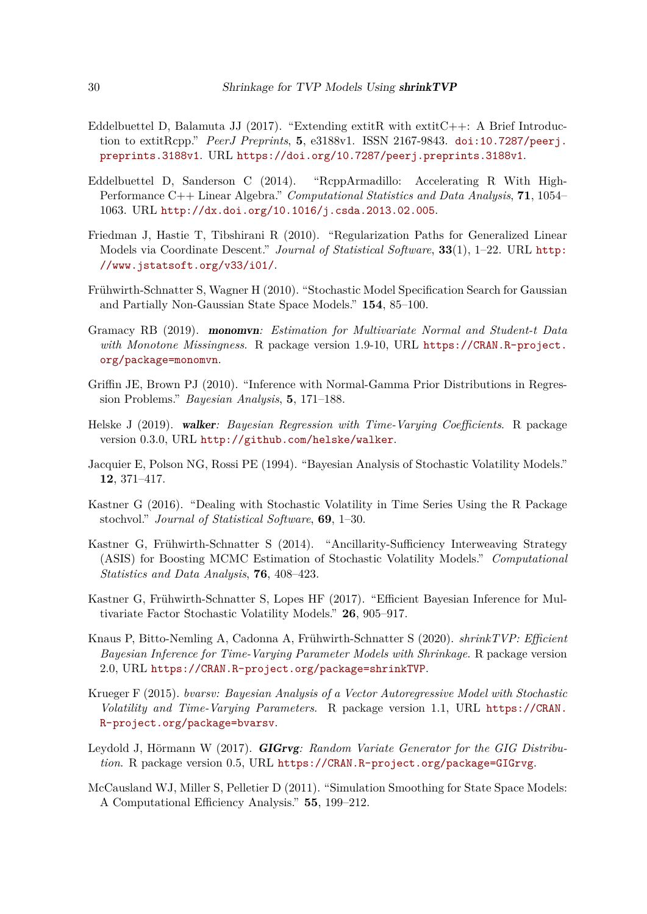- <span id="page-29-2"></span>Eddelbuettel D, Balamuta JJ (2017). "Extending extitR with extitC $++$ : A Brief Introduction to extitRcpp." *PeerJ Preprints*, **5**, e3188v1. ISSN 2167-9843. [doi:10.7287/peerj.](https://doi.org/10.7287/peerj.preprints.3188v1) [preprints.3188v1](https://doi.org/10.7287/peerj.preprints.3188v1). URL <https://doi.org/10.7287/peerj.preprints.3188v1>.
- <span id="page-29-3"></span>Eddelbuettel D, Sanderson C (2014). "RcppArmadillo: Accelerating R With High-Performance C++ Linear Algebra." *Computational Statistics and Data Analysis*, **71**, 1054– 1063. URL <http://dx.doi.org/10.1016/j.csda.2013.02.005>.
- <span id="page-29-6"></span>Friedman J, Hastie T, Tibshirani R (2010). "Regularization Paths for Generalized Linear Models via Coordinate Descent." *Journal of Statistical Software*, **33**(1), 1–22. URL [http:](http://www.jstatsoft.org/v33/i01/) [//www.jstatsoft.org/v33/i01/](http://www.jstatsoft.org/v33/i01/).
- <span id="page-29-1"></span>Frühwirth-Schnatter S, Wagner H (2010). "Stochastic Model Specification Search for Gaussian and Partially Non-Gaussian State Space Models." **154**, 85–100.
- <span id="page-29-7"></span>Gramacy RB (2019). monomvn*: Estimation for Multivariate Normal and Student-t Data with Monotone Missingness*. R package version 1.9-10, URL [https://CRAN.R-project.](https://CRAN.R-project.org/package=monomvn) [org/package=monomvn](https://CRAN.R-project.org/package=monomvn).
- <span id="page-29-11"></span>Griffin JE, Brown PJ (2010). "Inference with Normal-Gamma Prior Distributions in Regression Problems." *Bayesian Analysis*, **5**, 171–188.
- <span id="page-29-5"></span>Helske J (2019). walker*: Bayesian Regression with Time-Varying Coefficients*. R package version 0.3.0, URL <http://github.com/helske/walker>.
- <span id="page-29-8"></span>Jacquier E, Polson NG, Rossi PE (1994). "Bayesian Analysis of Stochastic Volatility Models." **12**, 371–417.
- <span id="page-29-10"></span>Kastner G (2016). "Dealing with Stochastic Volatility in Time Series Using the R Package stochvol." *Journal of Statistical Software*, **69**, 1–30.
- <span id="page-29-9"></span>Kastner G, Frühwirth-Schnatter S (2014). "Ancillarity-Sufficiency Interweaving Strategy (ASIS) for Boosting MCMC Estimation of Stochastic Volatility Models." *Computational Statistics and Data Analysis*, **76**, 408–423.
- <span id="page-29-14"></span>Kastner G, Frühwirth-Schnatter S, Lopes HF (2017). "Efficient Bayesian Inference for Multivariate Factor Stochastic Volatility Models." **26**, 905–917.
- <span id="page-29-0"></span>Knaus P, Bitto-Nemling A, Cadonna A, Frühwirth-Schnatter S (2020). *shrinkTVP: Efficient Bayesian Inference for Time-Varying Parameter Models with Shrinkage*. R package version 2.0, URL <https://CRAN.R-project.org/package=shrinkTVP>.
- <span id="page-29-4"></span>Krueger F (2015). *bvarsv: Bayesian Analysis of a Vector Autoregressive Model with Stochastic Volatility and Time-Varying Parameters*. R package version 1.1, URL [https://CRAN.](https://CRAN.R-project.org/package=bvarsv) [R-project.org/package=bvarsv](https://CRAN.R-project.org/package=bvarsv).
- <span id="page-29-12"></span>Leydold J, Hörmann W (2017). GIGrvg*: Random Variate Generator for the GIG Distribution*. R package version 0.5, URL <https://CRAN.R-project.org/package=GIGrvg>.
- <span id="page-29-13"></span>McCausland WJ, Miller S, Pelletier D (2011). "Simulation Smoothing for State Space Models: A Computational Efficiency Analysis." **55**, 199–212.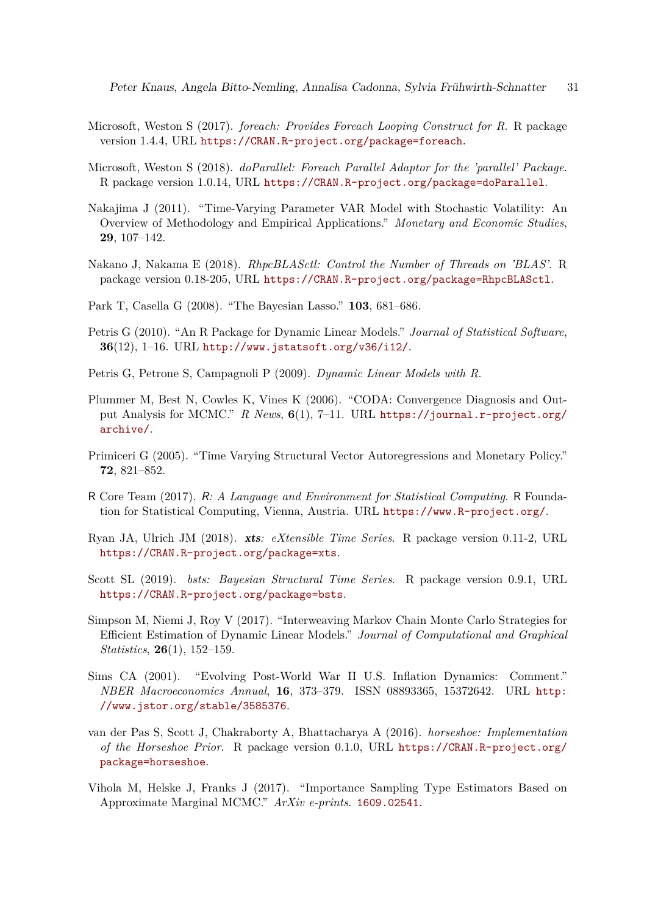- <span id="page-30-13"></span>Microsoft, Weston S (2017). *foreach: Provides Foreach Looping Construct for R*. R package version 1.4.4, URL <https://CRAN.R-project.org/package=foreach>.
- <span id="page-30-14"></span>Microsoft, Weston S (2018). *doParallel: Foreach Parallel Adaptor for the 'parallel' Package*. R package version 1.0.14, URL <https://CRAN.R-project.org/package=doParallel>.
- <span id="page-30-9"></span>Nakajima J (2011). "Time-Varying Parameter VAR Model with Stochastic Volatility: An Overview of Methodology and Empirical Applications." *Monetary and Economic Studies*, **29**, 107–142.
- <span id="page-30-15"></span>Nakano J, Nakama E (2018). *RhpcBLASctl: Control the Number of Threads on 'BLAS'*. R package version 0.18-205, URL <https://CRAN.R-project.org/package=RhpcBLASctl>.
- <span id="page-30-11"></span>Park T, Casella G (2008). "The Bayesian Lasso." **103**, 681–686.
- <span id="page-30-4"></span>Petris G (2010). "An R Package for Dynamic Linear Models." *Journal of Statistical Software*, **36**(12), 1–16. URL <http://www.jstatsoft.org/v36/i12/>.
- <span id="page-30-5"></span>Petris G, Petrone S, Campagnoli P (2009). *Dynamic Linear Models with R*.
- <span id="page-30-3"></span>Plummer M, Best N, Cowles K, Vines K (2006). "CODA: Convergence Diagnosis and Output Analysis for MCMC." *R News*, **6**(1), 7–11. URL [https://journal.r-project.org/](https://journal.r-project.org/archive/) [archive/](https://journal.r-project.org/archive/).
- <span id="page-30-0"></span>Primiceri G (2005). "Time Varying Structural Vector Autoregressions and Monetary Policy." **72**, 821–852.
- <span id="page-30-1"></span>R Core Team (2017). R*: A Language and Environment for Statistical Computing*. R Foundation for Statistical Computing, Vienna, Austria. URL <https://www.R-project.org/>.
- <span id="page-30-2"></span>Ryan JA, Ulrich JM (2018). xts*: eXtensible Time Series*. R package version 0.11-2, URL <https://CRAN.R-project.org/package=xts>.
- <span id="page-30-7"></span>Scott SL (2019). *bsts: Bayesian Structural Time Series*. R package version 0.9.1, URL <https://CRAN.R-project.org/package=bsts>.
- <span id="page-30-12"></span>Simpson M, Niemi J, Roy V (2017). "Interweaving Markov Chain Monte Carlo Strategies for Efficient Estimation of Dynamic Linear Models." *Journal of Computational and Graphical Statistics*, **26**(1), 152–159.
- <span id="page-30-10"></span>Sims CA (2001). "Evolving Post-World War II U.S. Inflation Dynamics: Comment." *NBER Macroeconomics Annual*, **16**, 373–379. ISSN 08893365, 15372642. URL [http:](http://www.jstor.org/stable/3585376) [//www.jstor.org/stable/3585376](http://www.jstor.org/stable/3585376).
- <span id="page-30-8"></span>van der Pas S, Scott J, Chakraborty A, Bhattacharya A (2016). *horseshoe: Implementation of the Horseshoe Prior*. R package version 0.1.0, URL [https://CRAN.R-project.org/](https://CRAN.R-project.org/package=horseshoe) [package=horseshoe](https://CRAN.R-project.org/package=horseshoe).
- <span id="page-30-6"></span>Vihola M, Helske J, Franks J (2017). "Importance Sampling Type Estimators Based on Approximate Marginal MCMC." *ArXiv e-prints*. <1609.02541>.